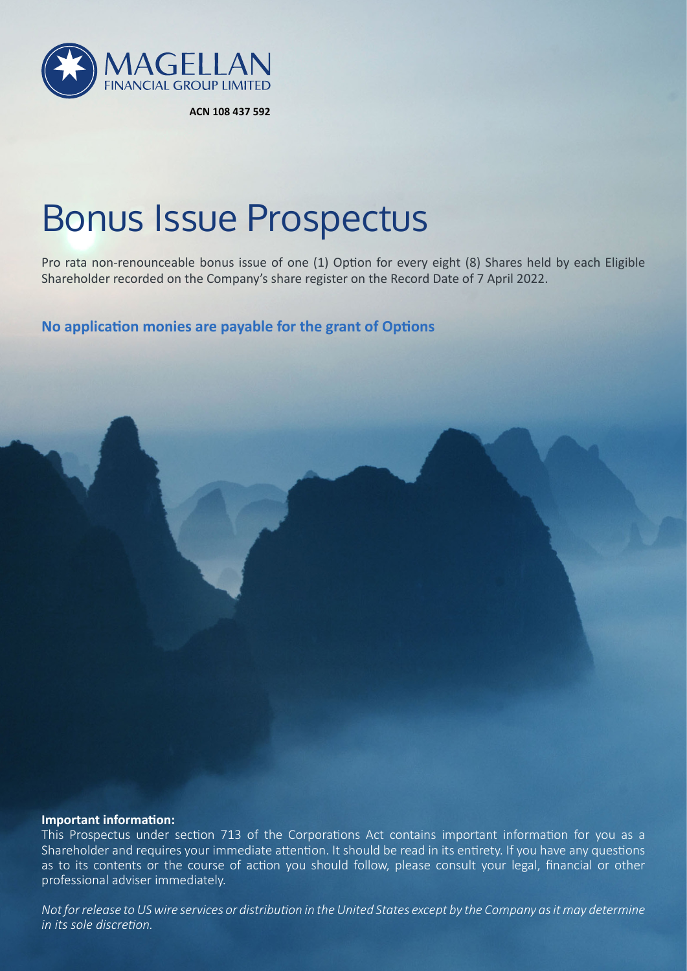

**ACN 108 437 592**

# Bonus Issue Prospectus

Pro rata non-renounceable bonus issue of one (1) Option for every eight (8) Shares held by each Eligible Shareholder recorded on the Company's share register on the Record Date of 7 April 2022.

**No application monies are payable for the grant of Options**

#### **Important information:**

This Prospectus under section 713 of the Corporations Act contains important information for you as a Shareholder and requires your immediate attention. It should be read in its entirety. If you have any questions as to its contents or the course of action you should follow, please consult your legal, financial or other professional adviser immediately.

*Not for release to US wire services or distribution in the United States except by the Company as it may determine in its sole discretion.*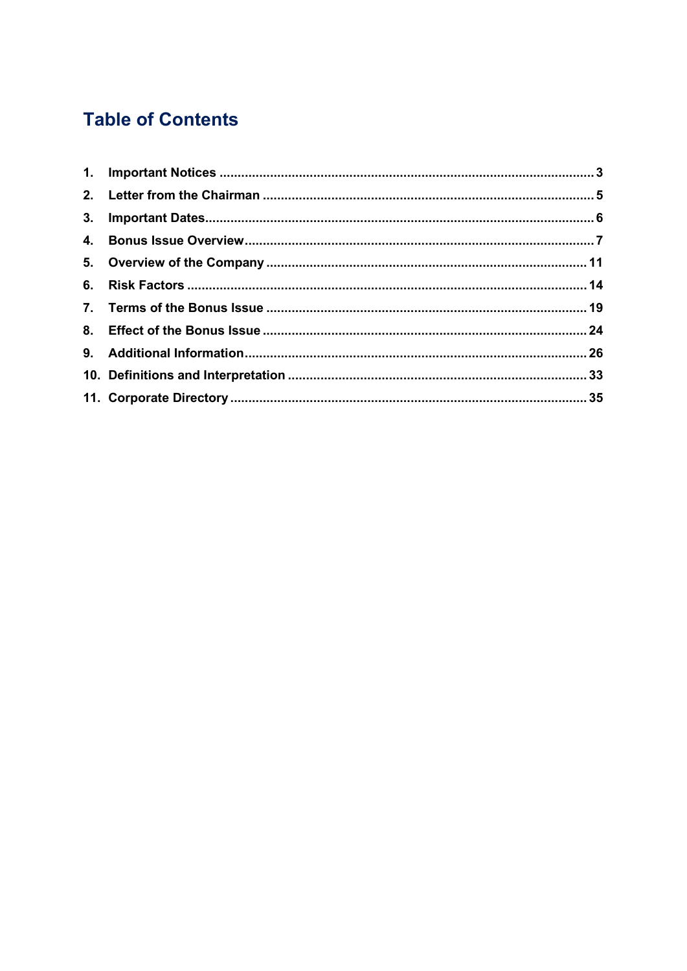# **Table of Contents**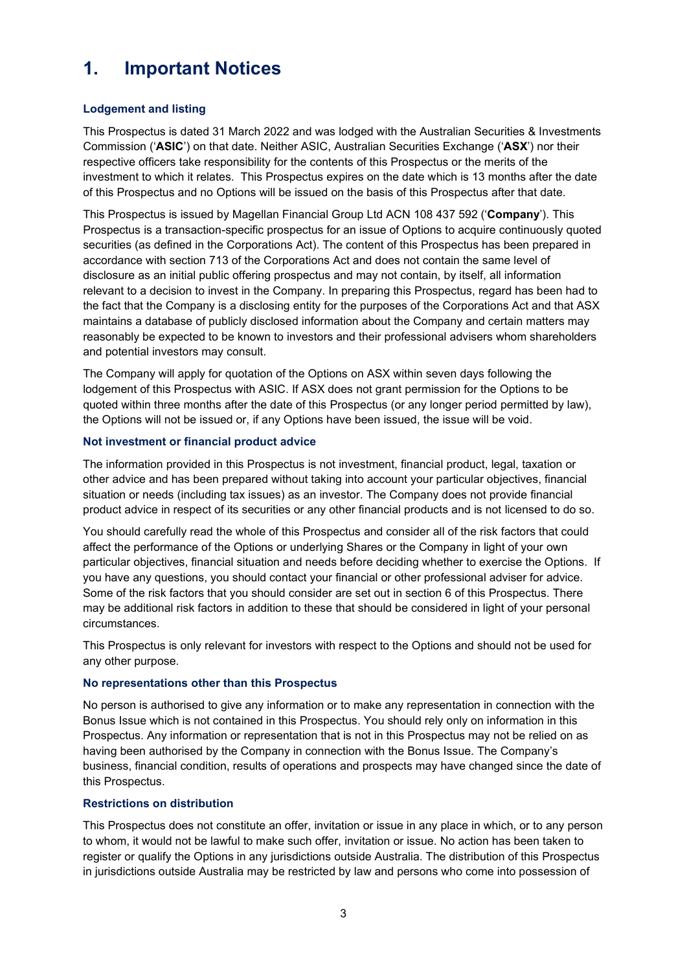# <span id="page-2-0"></span>**1. Important Notices**

#### **Lodgement and listing**

This Prospectus is dated 31 March 2022 and was lodged with the Australian Securities & Investments Commission ('**ASIC**') on that date. Neither ASIC, Australian Securities Exchange ('**ASX**') nor their respective officers take responsibility for the contents of this Prospectus or the merits of the investment to which it relates. This Prospectus expires on the date which is 13 months after the date of this Prospectus and no Options will be issued on the basis of this Prospectus after that date.

This Prospectus is issued by Magellan Financial Group Ltd ACN 108 437 592 ('**Company**'). This Prospectus is a transaction-specific prospectus for an issue of Options to acquire continuously quoted securities (as defined in the Corporations Act). The content of this Prospectus has been prepared in accordance with section 713 of the Corporations Act and does not contain the same level of disclosure as an initial public offering prospectus and may not contain, by itself, all information relevant to a decision to invest in the Company. In preparing this Prospectus, regard has been had to the fact that the Company is a disclosing entity for the purposes of the Corporations Act and that ASX maintains a database of publicly disclosed information about the Company and certain matters may reasonably be expected to be known to investors and their professional advisers whom shareholders and potential investors may consult.

The Company will apply for quotation of the Options on ASX within seven days following the lodgement of this Prospectus with ASIC. If ASX does not grant permission for the Options to be quoted within three months after the date of this Prospectus (or any longer period permitted by law), the Options will not be issued or, if any Options have been issued, the issue will be void.

#### **Not investment or financial product advice**

The information provided in this Prospectus is not investment, financial product, legal, taxation or other advice and has been prepared without taking into account your particular objectives, financial situation or needs (including tax issues) as an investor. The Company does not provide financial product advice in respect of its securities or any other financial products and is not licensed to do so.

You should carefully read the whole of this Prospectus and consider all of the risk factors that could affect the performance of the Options or underlying Shares or the Company in light of your own particular objectives, financial situation and needs before deciding whether to exercise the Options. If you have any questions, you should contact your financial or other professional adviser for advice. Some of the risk factors that you should consider are set out in section [6](#page-13-0) of this Prospectus. There may be additional risk factors in addition to these that should be considered in light of your personal circumstances.

This Prospectus is only relevant for investors with respect to the Options and should not be used for any other purpose.

#### **No representations other than this Prospectus**

No person is authorised to give any information or to make any representation in connection with the Bonus Issue which is not contained in this Prospectus. You should rely only on information in this Prospectus. Any information or representation that is not in this Prospectus may not be relied on as having been authorised by the Company in connection with the Bonus Issue. The Company's business, financial condition, results of operations and prospects may have changed since the date of this Prospectus.

# **Restrictions on distribution**

This Prospectus does not constitute an offer, invitation or issue in any place in which, or to any person to whom, it would not be lawful to make such offer, invitation or issue. No action has been taken to register or qualify the Options in any jurisdictions outside Australia. The distribution of this Prospectus in jurisdictions outside Australia may be restricted by law and persons who come into possession of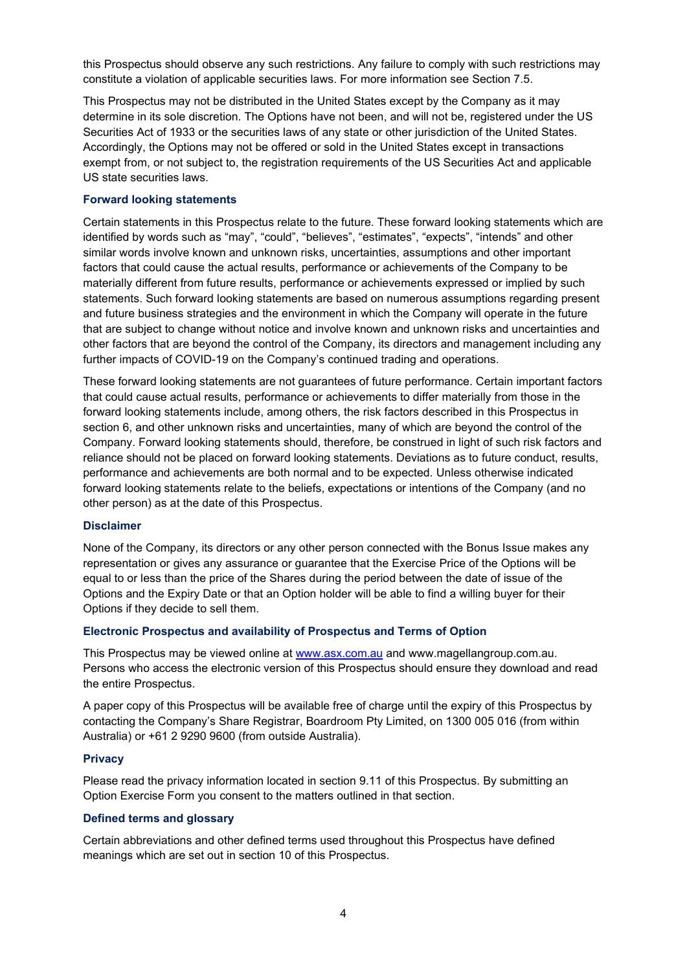this Prospectus should observe any such restrictions. Any failure to comply with such restrictions may constitute a violation of applicable securities laws. For more information see Section [7.5.](#page-20-0)

This Prospectus may not be distributed in the United States except by the Company as it may determine in its sole discretion. The Options have not been, and will not be, registered under the US Securities Act of 1933 or the securities laws of any state or other jurisdiction of the United States. Accordingly, the Options may not be offered or sold in the United States except in transactions exempt from, or not subject to, the registration requirements of the US Securities Act and applicable US state securities laws.

#### **Forward looking statements**

Certain statements in this Prospectus relate to the future. These forward looking statements which are identified by words such as "may", "could", "believes", "estimates", "expects", "intends" and other similar words involve known and unknown risks, uncertainties, assumptions and other important factors that could cause the actual results, performance or achievements of the Company to be materially different from future results, performance or achievements expressed or implied by such statements. Such forward looking statements are based on numerous assumptions regarding present and future business strategies and the environment in which the Company will operate in the future that are subject to change without notice and involve known and unknown risks and uncertainties and other factors that are beyond the control of the Company, its directors and management including any further impacts of COVID-19 on the Company's continued trading and operations.

These forward looking statements are not guarantees of future performance. Certain important factors that could cause actual results, performance or achievements to differ materially from those in the forward looking statements include, among others, the risk factors described in this Prospectus in section [6,](#page-13-0) and other unknown risks and uncertainties, many of which are beyond the control of the Company. Forward looking statements should, therefore, be construed in light of such risk factors and reliance should not be placed on forward looking statements. Deviations as to future conduct, results, performance and achievements are both normal and to be expected. Unless otherwise indicated forward looking statements relate to the beliefs, expectations or intentions of the Company (and no other person) as at the date of this Prospectus.

#### **Disclaimer**

None of the Company, its directors or any other person connected with the Bonus Issue makes any representation or gives any assurance or guarantee that the Exercise Price of the Options will be equal to or less than the price of the Shares during the period between the date of issue of the Options and the Expiry Date or that an Option holder will be able to find a willing buyer for their Options if they decide to sell them.

#### **Electronic Prospectus and availability of Prospectus and Terms of Option**

This Prospectus may be viewed online at [www.asx.com.au](http://www.asx.com.au/) and www.magellangroup.com.au. Persons who access the electronic version of this Prospectus should ensure they download and read the entire Prospectus.

A paper copy of this Prospectus will be available free of charge until the expiry of this Prospectus by contacting the Company's Share Registrar, Boardroom Pty Limited, on 1300 005 016 (from within Australia) or +61 2 9290 9600 (from outside Australia).

#### **Privacy**

Please read the privacy information located in section [9.11](#page-30-0) of this Prospectus. By submitting an Option Exercise Form you consent to the matters outlined in that section.

#### **Defined terms and glossary**

Certain abbreviations and other defined terms used throughout this Prospectus have defined meanings which are set out in section 10 of this Prospectus.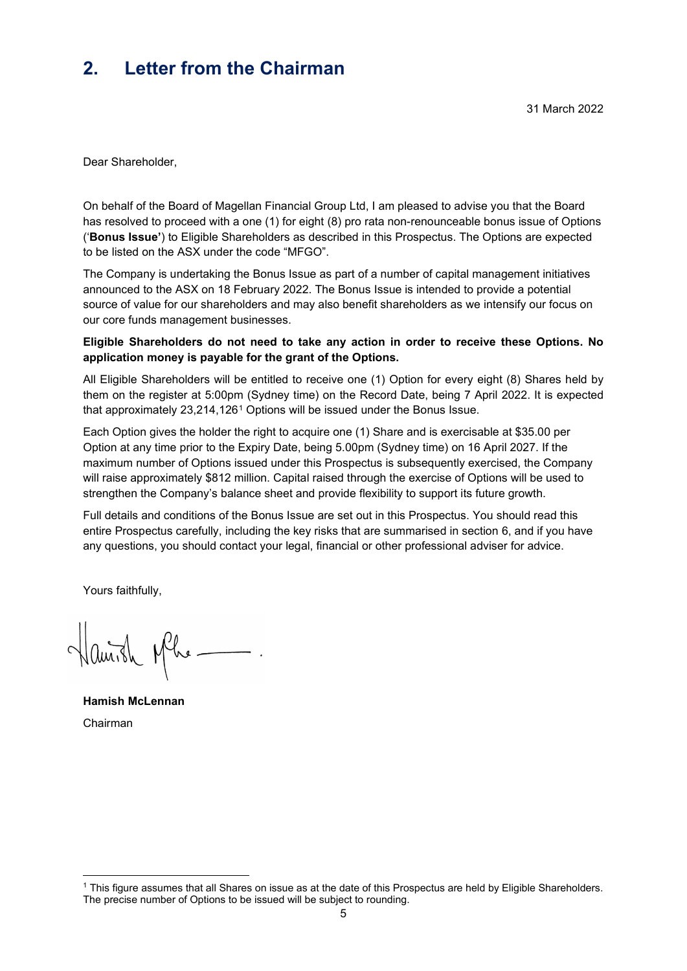# <span id="page-4-0"></span>**2. Letter from the Chairman**

Dear Shareholder,

On behalf of the Board of Magellan Financial Group Ltd, I am pleased to advise you that the Board has resolved to proceed with a one (1) for eight (8) pro rata non-renounceable bonus issue of Options ('**Bonus Issue'**) to Eligible Shareholders as described in this Prospectus. The Options are expected to be listed on the ASX under the code "MFGO".

The Company is undertaking the Bonus Issue as part of a number of capital management initiatives announced to the ASX on 18 February 2022. The Bonus Issue is intended to provide a potential source of value for our shareholders and may also benefit shareholders as we intensify our focus on our core funds management businesses.

#### **Eligible Shareholders do not need to take any action in order to receive these Options. No application money is payable for the grant of the Options.**

All Eligible Shareholders will be entitled to receive one (1) Option for every eight (8) Shares held by them on the register at 5:00pm (Sydney time) on the Record Date, being 7 April 2022. It is expected that approximately 23,214,126[1](#page-4-1) Options will be issued under the Bonus Issue.

Each Option gives the holder the right to acquire one (1) Share and is exercisable at \$35.00 per Option at any time prior to the Expiry Date, being 5.00pm (Sydney time) on 16 April 2027. If the maximum number of Options issued under this Prospectus is subsequently exercised, the Company will raise approximately \$812 million. Capital raised through the exercise of Options will be used to strengthen the Company's balance sheet and provide flexibility to support its future growth.

Full details and conditions of the Bonus Issue are set out in this Prospectus. You should read this entire Prospectus carefully, including the key risks that are summarised in section [6,](#page-13-0) and if you have any questions, you should contact your legal, financial or other professional adviser for advice.

Yours faithfully,

Hanish Mhe

**Hamish McLennan**  Chairman

<span id="page-4-1"></span><sup>1</sup> This figure assumes that all Shares on issue as at the date of this Prospectus are held by Eligible Shareholders. The precise number of Options to be issued will be subject to rounding.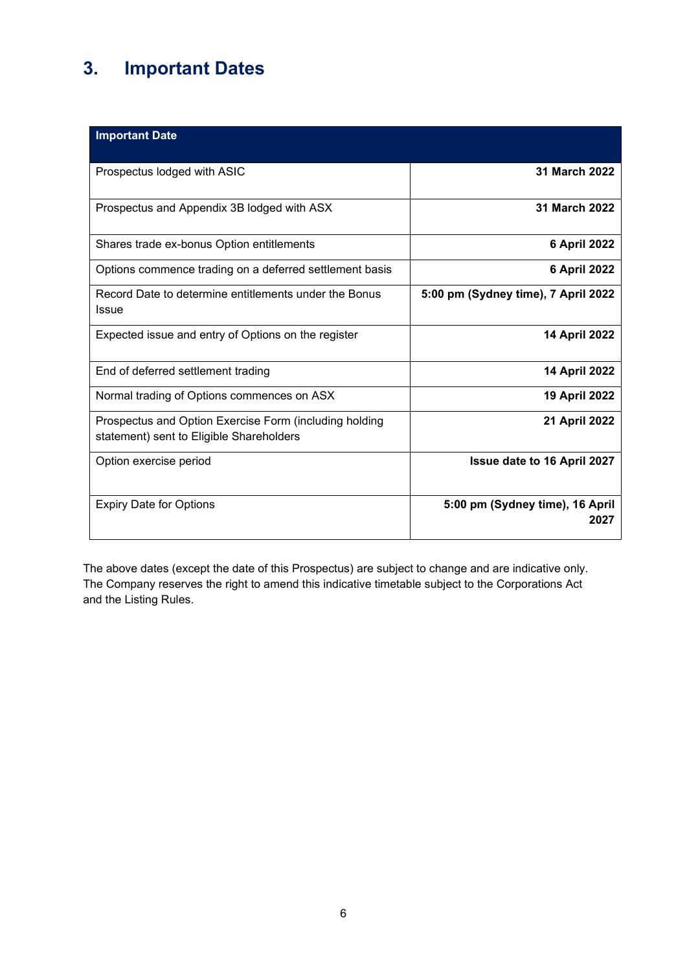# <span id="page-5-0"></span>**3. Important Dates**

| <b>Important Date</b>                                                                              |                                         |
|----------------------------------------------------------------------------------------------------|-----------------------------------------|
| Prospectus lodged with ASIC                                                                        | 31 March 2022                           |
| Prospectus and Appendix 3B lodged with ASX                                                         | 31 March 2022                           |
| Shares trade ex-bonus Option entitlements                                                          | <b>6 April 2022</b>                     |
| Options commence trading on a deferred settlement basis                                            | <b>6 April 2022</b>                     |
| Record Date to determine entitlements under the Bonus<br>Issue                                     | 5:00 pm (Sydney time), 7 April 2022     |
| Expected issue and entry of Options on the register                                                | 14 April 2022                           |
| End of deferred settlement trading                                                                 | <b>14 April 2022</b>                    |
| Normal trading of Options commences on ASX                                                         | 19 April 2022                           |
| Prospectus and Option Exercise Form (including holding<br>statement) sent to Eligible Shareholders | 21 April 2022                           |
| Option exercise period                                                                             | Issue date to 16 April 2027             |
| <b>Expiry Date for Options</b>                                                                     | 5:00 pm (Sydney time), 16 April<br>2027 |

The above dates (except the date of this Prospectus) are subject to change and are indicative only. The Company reserves the right to amend this indicative timetable subject to the Corporations Act and the Listing Rules.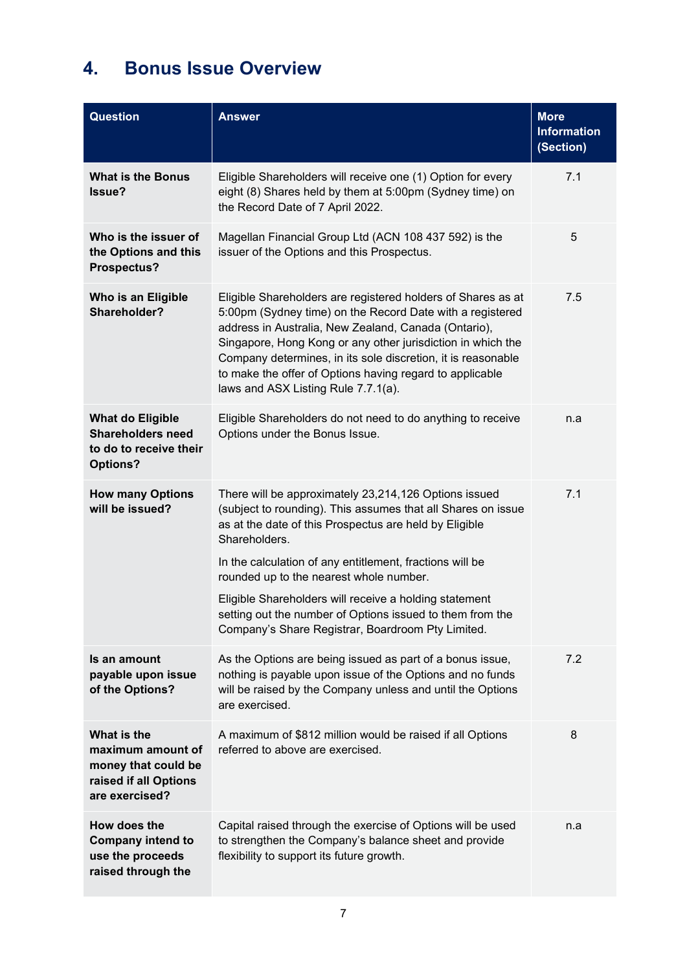# <span id="page-6-0"></span>**4. Bonus Issue Overview**

| <b>Question</b>                                                                                    | <b>Answer</b>                                                                                                                                                                                                                                                                                                                                                                                                       | <b>More</b><br><b>Information</b><br>(Section) |
|----------------------------------------------------------------------------------------------------|---------------------------------------------------------------------------------------------------------------------------------------------------------------------------------------------------------------------------------------------------------------------------------------------------------------------------------------------------------------------------------------------------------------------|------------------------------------------------|
| <b>What is the Bonus</b><br><b>Issue?</b>                                                          | Eligible Shareholders will receive one (1) Option for every<br>eight (8) Shares held by them at 5:00pm (Sydney time) on<br>the Record Date of 7 April 2022.                                                                                                                                                                                                                                                         | 7.1                                            |
| Who is the issuer of<br>the Options and this<br>Prospectus?                                        | Magellan Financial Group Ltd (ACN 108 437 592) is the<br>issuer of the Options and this Prospectus.                                                                                                                                                                                                                                                                                                                 | 5                                              |
| Who is an Eligible<br>Shareholder?                                                                 | Eligible Shareholders are registered holders of Shares as at<br>5:00pm (Sydney time) on the Record Date with a registered<br>address in Australia, New Zealand, Canada (Ontario),<br>Singapore, Hong Kong or any other jurisdiction in which the<br>Company determines, in its sole discretion, it is reasonable<br>to make the offer of Options having regard to applicable<br>laws and ASX Listing Rule 7.7.1(a). | 7.5                                            |
| <b>What do Eligible</b><br><b>Shareholders need</b><br>to do to receive their<br><b>Options?</b>   | Eligible Shareholders do not need to do anything to receive<br>Options under the Bonus Issue.                                                                                                                                                                                                                                                                                                                       | n.a                                            |
| <b>How many Options</b><br>will be issued?                                                         | There will be approximately 23,214,126 Options issued<br>(subject to rounding). This assumes that all Shares on issue<br>as at the date of this Prospectus are held by Eligible<br>Shareholders.                                                                                                                                                                                                                    | 7.1                                            |
|                                                                                                    | In the calculation of any entitlement, fractions will be<br>rounded up to the nearest whole number.                                                                                                                                                                                                                                                                                                                 |                                                |
|                                                                                                    | Eligible Shareholders will receive a holding statement<br>setting out the number of Options issued to them from the<br>Company's Share Registrar, Boardroom Pty Limited.                                                                                                                                                                                                                                            |                                                |
| Is an amount<br>payable upon issue<br>of the Options?                                              | As the Options are being issued as part of a bonus issue,<br>nothing is payable upon issue of the Options and no funds<br>will be raised by the Company unless and until the Options<br>are exercised.                                                                                                                                                                                                              | 7.2                                            |
| What is the<br>maximum amount of<br>money that could be<br>raised if all Options<br>are exercised? | A maximum of \$812 million would be raised if all Options<br>referred to above are exercised.                                                                                                                                                                                                                                                                                                                       | 8                                              |
| How does the<br><b>Company intend to</b><br>use the proceeds<br>raised through the                 | Capital raised through the exercise of Options will be used<br>to strengthen the Company's balance sheet and provide<br>flexibility to support its future growth.                                                                                                                                                                                                                                                   | n.a                                            |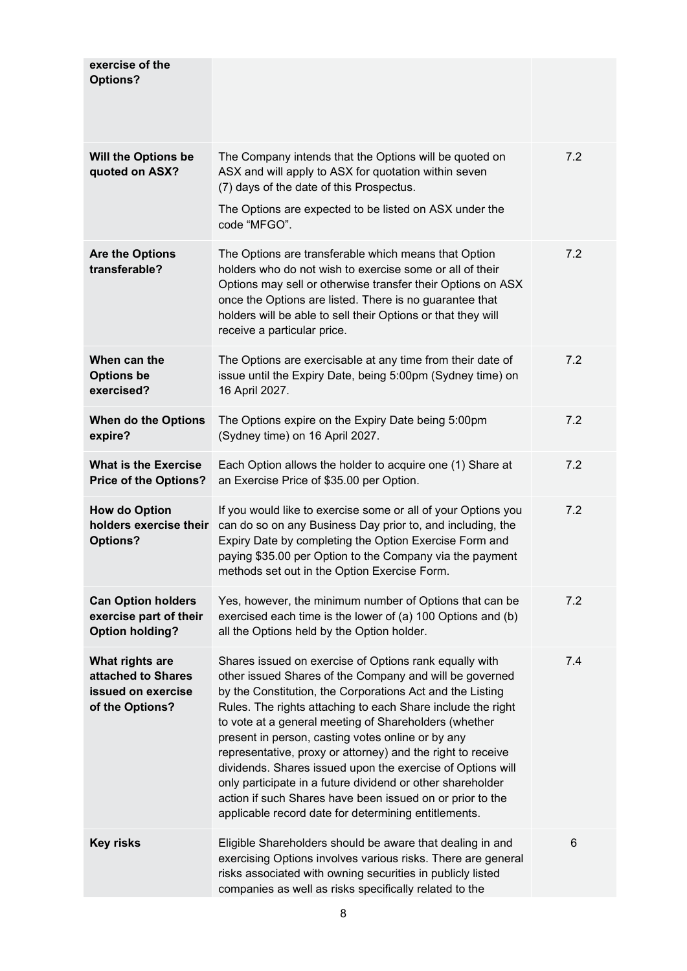| exercise of the<br><b>Options?</b>                                             |                                                                                                                                                                                                                                                                                                                                                                                                                                                                                                                                                                                                                                                                             |     |
|--------------------------------------------------------------------------------|-----------------------------------------------------------------------------------------------------------------------------------------------------------------------------------------------------------------------------------------------------------------------------------------------------------------------------------------------------------------------------------------------------------------------------------------------------------------------------------------------------------------------------------------------------------------------------------------------------------------------------------------------------------------------------|-----|
| <b>Will the Options be</b><br>quoted on ASX?                                   | The Company intends that the Options will be quoted on<br>ASX and will apply to ASX for quotation within seven<br>(7) days of the date of this Prospectus.<br>The Options are expected to be listed on ASX under the<br>code "MFGO".                                                                                                                                                                                                                                                                                                                                                                                                                                        | 7.2 |
| <b>Are the Options</b><br>transferable?                                        | The Options are transferable which means that Option<br>holders who do not wish to exercise some or all of their<br>Options may sell or otherwise transfer their Options on ASX<br>once the Options are listed. There is no guarantee that<br>holders will be able to sell their Options or that they will<br>receive a particular price.                                                                                                                                                                                                                                                                                                                                   | 7.2 |
| When can the<br><b>Options be</b><br>exercised?                                | The Options are exercisable at any time from their date of<br>issue until the Expiry Date, being 5:00pm (Sydney time) on<br>16 April 2027.                                                                                                                                                                                                                                                                                                                                                                                                                                                                                                                                  | 7.2 |
| When do the Options<br>expire?                                                 | The Options expire on the Expiry Date being 5:00pm<br>(Sydney time) on 16 April 2027.                                                                                                                                                                                                                                                                                                                                                                                                                                                                                                                                                                                       | 7.2 |
| <b>What is the Exercise</b><br><b>Price of the Options?</b>                    | Each Option allows the holder to acquire one (1) Share at<br>an Exercise Price of \$35.00 per Option.                                                                                                                                                                                                                                                                                                                                                                                                                                                                                                                                                                       | 7.2 |
| <b>How do Option</b><br>holders exercise their<br><b>Options?</b>              | If you would like to exercise some or all of your Options you<br>can do so on any Business Day prior to, and including, the<br>Expiry Date by completing the Option Exercise Form and<br>paying \$35.00 per Option to the Company via the payment<br>methods set out in the Option Exercise Form.                                                                                                                                                                                                                                                                                                                                                                           | 7.2 |
| <b>Can Option holders</b><br>exercise part of their<br><b>Option holding?</b>  | Yes, however, the minimum number of Options that can be<br>exercised each time is the lower of (a) 100 Options and (b)<br>all the Options held by the Option holder.                                                                                                                                                                                                                                                                                                                                                                                                                                                                                                        | 7.2 |
| What rights are<br>attached to Shares<br>issued on exercise<br>of the Options? | Shares issued on exercise of Options rank equally with<br>other issued Shares of the Company and will be governed<br>by the Constitution, the Corporations Act and the Listing<br>Rules. The rights attaching to each Share include the right<br>to vote at a general meeting of Shareholders (whether<br>present in person, casting votes online or by any<br>representative, proxy or attorney) and the right to receive<br>dividends. Shares issued upon the exercise of Options will<br>only participate in a future dividend or other shareholder<br>action if such Shares have been issued on or prior to the<br>applicable record date for determining entitlements. | 7.4 |
| <b>Key risks</b>                                                               | Eligible Shareholders should be aware that dealing in and<br>exercising Options involves various risks. There are general<br>risks associated with owning securities in publicly listed<br>companies as well as risks specifically related to the                                                                                                                                                                                                                                                                                                                                                                                                                           | 6   |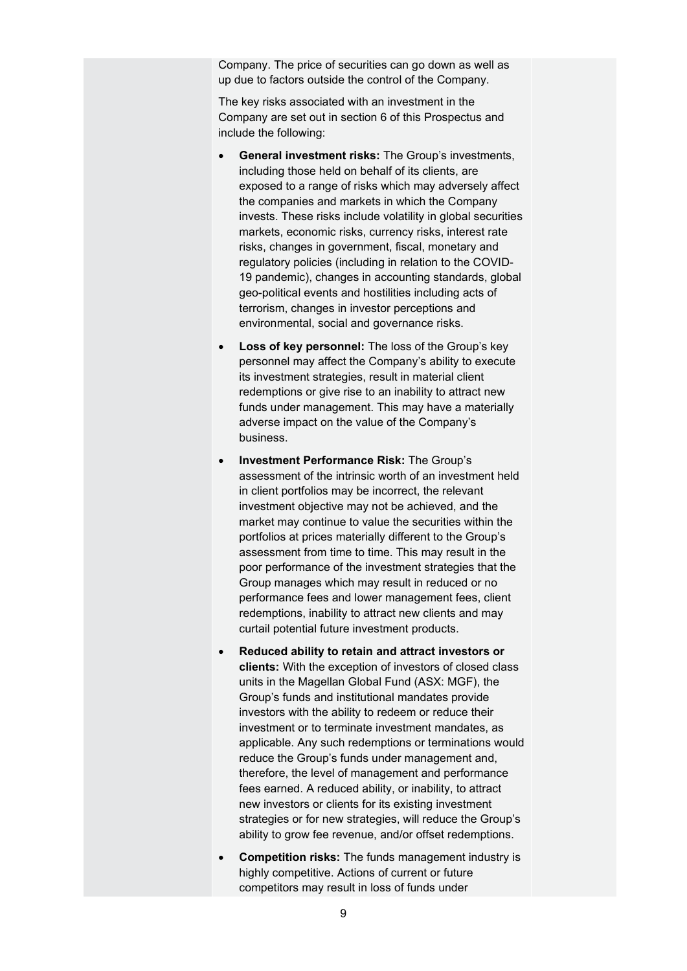Company. The price of securities can go down as well as up due to factors outside the control of the Company.

The key risks associated with an investment in the Company are set out in section 6 of this Prospectus and include the following:

- **General investment risks:** The Group's investments, including those held on behalf of its clients, are exposed to a range of risks which may adversely affect the companies and markets in which the Company invests. These risks include volatility in global securities markets, economic risks, currency risks, interest rate risks, changes in government, fiscal, monetary and regulatory policies (including in relation to the COVID-19 pandemic), changes in accounting standards, global geo-political events and hostilities including acts of terrorism, changes in investor perceptions and environmental, social and governance risks.
- Loss of key personnel: The loss of the Group's key personnel may affect the Company's ability to execute its investment strategies, result in material client redemptions or give rise to an inability to attract new funds under management. This may have a materially adverse impact on the value of the Company's business.
- **Investment Performance Risk:** The Group's assessment of the intrinsic worth of an investment held in client portfolios may be incorrect, the relevant investment objective may not be achieved, and the market may continue to value the securities within the portfolios at prices materially different to the Group's assessment from time to time. This may result in the poor performance of the investment strategies that the Group manages which may result in reduced or no performance fees and lower management fees, client redemptions, inability to attract new clients and may curtail potential future investment products.
- **Reduced ability to retain and attract investors or clients:** With the exception of investors of closed class units in the Magellan Global Fund (ASX: MGF), the Group's funds and institutional mandates provide investors with the ability to redeem or reduce their investment or to terminate investment mandates, as applicable. Any such redemptions or terminations would reduce the Group's funds under management and, therefore, the level of management and performance fees earned. A reduced ability, or inability, to attract new investors or clients for its existing investment strategies or for new strategies, will reduce the Group's ability to grow fee revenue, and/or offset redemptions.
- **Competition risks:** The funds management industry is highly competitive. Actions of current or future competitors may result in loss of funds under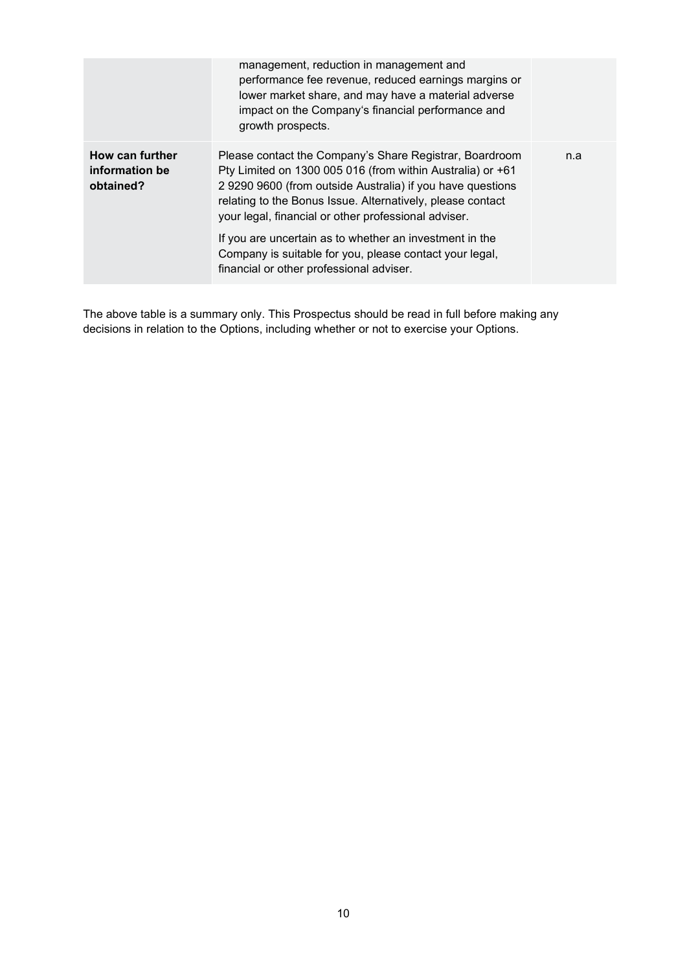|                                                | management, reduction in management and<br>performance fee revenue, reduced earnings margins or<br>lower market share, and may have a material adverse<br>impact on the Company's financial performance and<br>growth prospects.                                                                                                                                     |     |
|------------------------------------------------|----------------------------------------------------------------------------------------------------------------------------------------------------------------------------------------------------------------------------------------------------------------------------------------------------------------------------------------------------------------------|-----|
| How can further<br>information be<br>obtained? | Please contact the Company's Share Registrar, Boardroom<br>Pty Limited on 1300 005 016 (from within Australia) or +61<br>2 9290 9600 (from outside Australia) if you have questions<br>relating to the Bonus Issue. Alternatively, please contact<br>your legal, financial or other professional adviser.<br>If you are uncertain as to whether an investment in the | n.a |
|                                                | Company is suitable for you, please contact your legal,<br>financial or other professional adviser.                                                                                                                                                                                                                                                                  |     |

The above table is a summary only. This Prospectus should be read in full before making any decisions in relation to the Options, including whether or not to exercise your Options.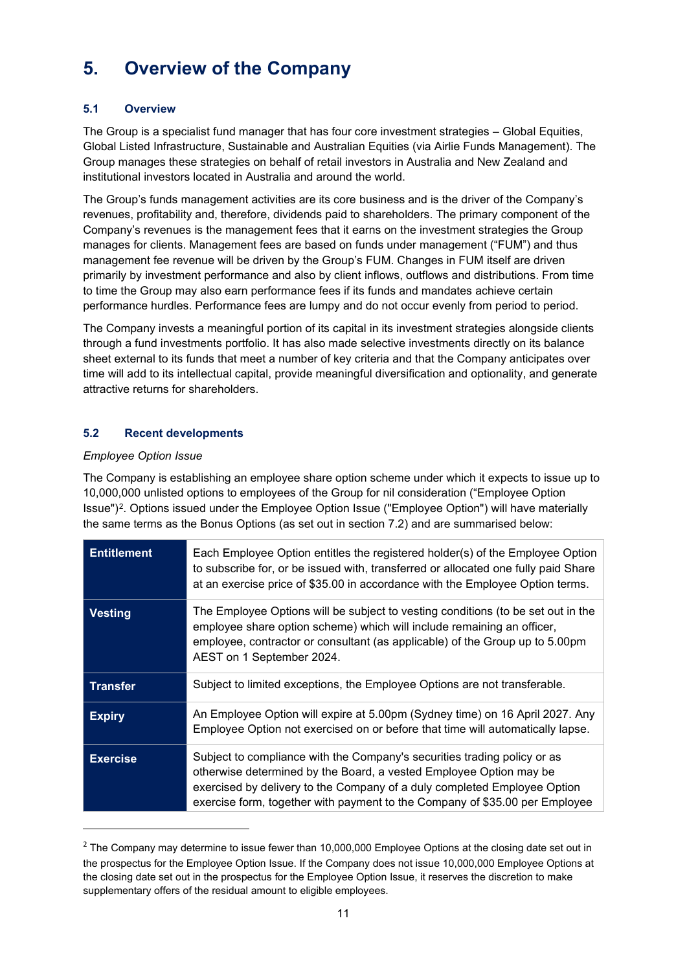# <span id="page-10-0"></span>**5. Overview of the Company**

### **5.1 Overview**

The Group is a specialist fund manager that has four core investment strategies – Global Equities, Global Listed Infrastructure, Sustainable and Australian Equities (via Airlie Funds Management). The Group manages these strategies on behalf of retail investors in Australia and New Zealand and institutional investors located in Australia and around the world.

The Group's funds management activities are its core business and is the driver of the Company's revenues, profitability and, therefore, dividends paid to shareholders. The primary component of the Company's revenues is the management fees that it earns on the investment strategies the Group manages for clients. Management fees are based on funds under management ("FUM") and thus management fee revenue will be driven by the Group's FUM. Changes in FUM itself are driven primarily by investment performance and also by client inflows, outflows and distributions. From time to time the Group may also earn performance fees if its funds and mandates achieve certain performance hurdles. Performance fees are lumpy and do not occur evenly from period to period.

The Company invests a meaningful portion of its capital in its investment strategies alongside clients through a fund investments portfolio. It has also made selective investments directly on its balance sheet external to its funds that meet a number of key criteria and that the Company anticipates over time will add to its intellectual capital, provide meaningful diversification and optionality, and generate attractive returns for shareholders.

# **5.2 Recent developments**

#### *Employee Option Issue*

The Company is establishing an employee share option scheme under which it expects to issue up to 10,000,000 unlisted options to employees of the Group for nil consideration ("Employee Option Issue")[2.](#page-10-1) Options issued under the Employee Option Issue ("Employee Option") will have materially the same terms as the Bonus Options (as set out in section [7.2\)](#page-18-2) and are summarised below:

| <b>Entitlement</b> | Each Employee Option entitles the registered holder(s) of the Employee Option<br>to subscribe for, or be issued with, transferred or allocated one fully paid Share<br>at an exercise price of \$35.00 in accordance with the Employee Option terms.                                                      |
|--------------------|-----------------------------------------------------------------------------------------------------------------------------------------------------------------------------------------------------------------------------------------------------------------------------------------------------------|
| <b>Vesting</b>     | The Employee Options will be subject to vesting conditions (to be set out in the<br>employee share option scheme) which will include remaining an officer,<br>employee, contractor or consultant (as applicable) of the Group up to 5.00pm<br>AEST on 1 September 2024.                                   |
| <b>Transfer</b>    | Subject to limited exceptions, the Employee Options are not transferable.                                                                                                                                                                                                                                 |
| <b>Expiry</b>      | An Employee Option will expire at 5.00pm (Sydney time) on 16 April 2027. Any<br>Employee Option not exercised on or before that time will automatically lapse.                                                                                                                                            |
| <b>Exercise</b>    | Subject to compliance with the Company's securities trading policy or as<br>otherwise determined by the Board, a vested Employee Option may be<br>exercised by delivery to the Company of a duly completed Employee Option<br>exercise form, together with payment to the Company of \$35.00 per Employee |

<span id="page-10-1"></span> $<sup>2</sup>$  The Company may determine to issue fewer than 10,000,000 Employee Options at the closing date set out in</sup> the prospectus for the Employee Option Issue. If the Company does not issue 10,000,000 Employee Options at the closing date set out in the prospectus for the Employee Option Issue, it reserves the discretion to make supplementary offers of the residual amount to eligible employees.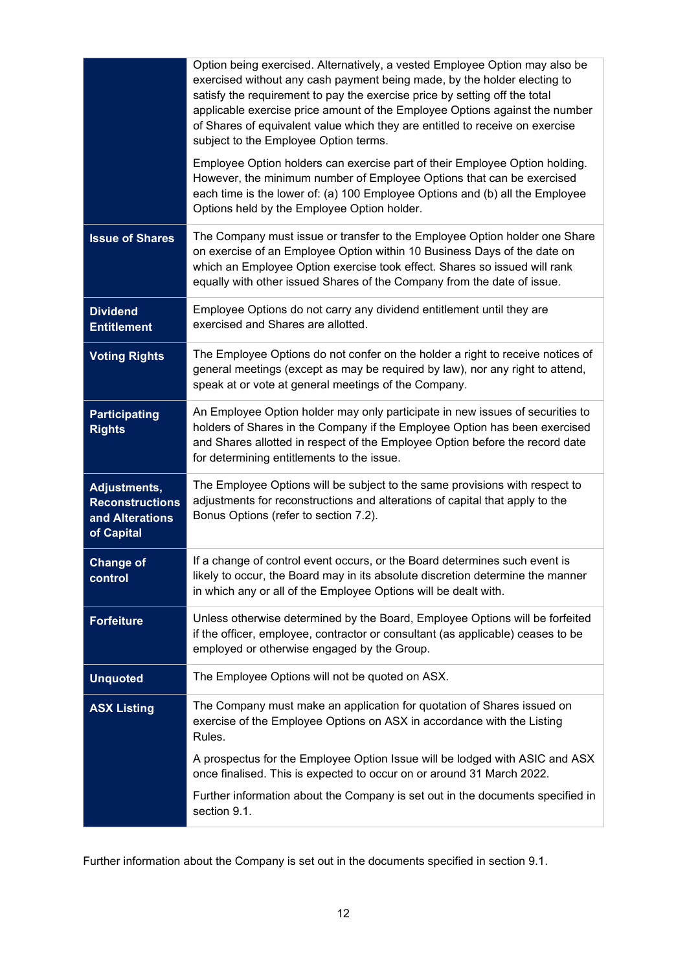|                                                                         | Option being exercised. Alternatively, a vested Employee Option may also be<br>exercised without any cash payment being made, by the holder electing to<br>satisfy the requirement to pay the exercise price by setting off the total<br>applicable exercise price amount of the Employee Options against the number<br>of Shares of equivalent value which they are entitled to receive on exercise<br>subject to the Employee Option terms.<br>Employee Option holders can exercise part of their Employee Option holding.<br>However, the minimum number of Employee Options that can be exercised<br>each time is the lower of: (a) 100 Employee Options and (b) all the Employee<br>Options held by the Employee Option holder. |
|-------------------------------------------------------------------------|--------------------------------------------------------------------------------------------------------------------------------------------------------------------------------------------------------------------------------------------------------------------------------------------------------------------------------------------------------------------------------------------------------------------------------------------------------------------------------------------------------------------------------------------------------------------------------------------------------------------------------------------------------------------------------------------------------------------------------------|
|                                                                         |                                                                                                                                                                                                                                                                                                                                                                                                                                                                                                                                                                                                                                                                                                                                      |
| <b>Issue of Shares</b>                                                  | The Company must issue or transfer to the Employee Option holder one Share<br>on exercise of an Employee Option within 10 Business Days of the date on<br>which an Employee Option exercise took effect. Shares so issued will rank<br>equally with other issued Shares of the Company from the date of issue.                                                                                                                                                                                                                                                                                                                                                                                                                       |
| <b>Dividend</b><br><b>Entitlement</b>                                   | Employee Options do not carry any dividend entitlement until they are<br>exercised and Shares are allotted.                                                                                                                                                                                                                                                                                                                                                                                                                                                                                                                                                                                                                          |
| <b>Voting Rights</b>                                                    | The Employee Options do not confer on the holder a right to receive notices of<br>general meetings (except as may be required by law), nor any right to attend,<br>speak at or vote at general meetings of the Company.                                                                                                                                                                                                                                                                                                                                                                                                                                                                                                              |
| <b>Participating</b><br><b>Rights</b>                                   | An Employee Option holder may only participate in new issues of securities to<br>holders of Shares in the Company if the Employee Option has been exercised<br>and Shares allotted in respect of the Employee Option before the record date<br>for determining entitlements to the issue.                                                                                                                                                                                                                                                                                                                                                                                                                                            |
| Adjustments,<br><b>Reconstructions</b><br>and Alterations<br>of Capital | The Employee Options will be subject to the same provisions with respect to<br>adjustments for reconstructions and alterations of capital that apply to the<br>Bonus Options (refer to section 7.2).                                                                                                                                                                                                                                                                                                                                                                                                                                                                                                                                 |
| <b>Change of</b><br>control                                             | If a change of control event occurs, or the Board determines such event is<br>likely to occur, the Board may in its absolute discretion determine the manner<br>in which any or all of the Employee Options will be dealt with.                                                                                                                                                                                                                                                                                                                                                                                                                                                                                                      |
| <b>Forfeiture</b>                                                       | Unless otherwise determined by the Board, Employee Options will be forfeited<br>if the officer, employee, contractor or consultant (as applicable) ceases to be<br>employed or otherwise engaged by the Group.                                                                                                                                                                                                                                                                                                                                                                                                                                                                                                                       |
| <b>Unquoted</b>                                                         | The Employee Options will not be quoted on ASX.                                                                                                                                                                                                                                                                                                                                                                                                                                                                                                                                                                                                                                                                                      |
| <b>ASX Listing</b>                                                      | The Company must make an application for quotation of Shares issued on<br>exercise of the Employee Options on ASX in accordance with the Listing<br>Rules.                                                                                                                                                                                                                                                                                                                                                                                                                                                                                                                                                                           |
|                                                                         | A prospectus for the Employee Option Issue will be lodged with ASIC and ASX<br>once finalised. This is expected to occur on or around 31 March 2022.                                                                                                                                                                                                                                                                                                                                                                                                                                                                                                                                                                                 |
|                                                                         | Further information about the Company is set out in the documents specified in<br>section 9.1.                                                                                                                                                                                                                                                                                                                                                                                                                                                                                                                                                                                                                                       |

Further information about the Company is set out in the documents specified in section [9.1.](#page-25-1)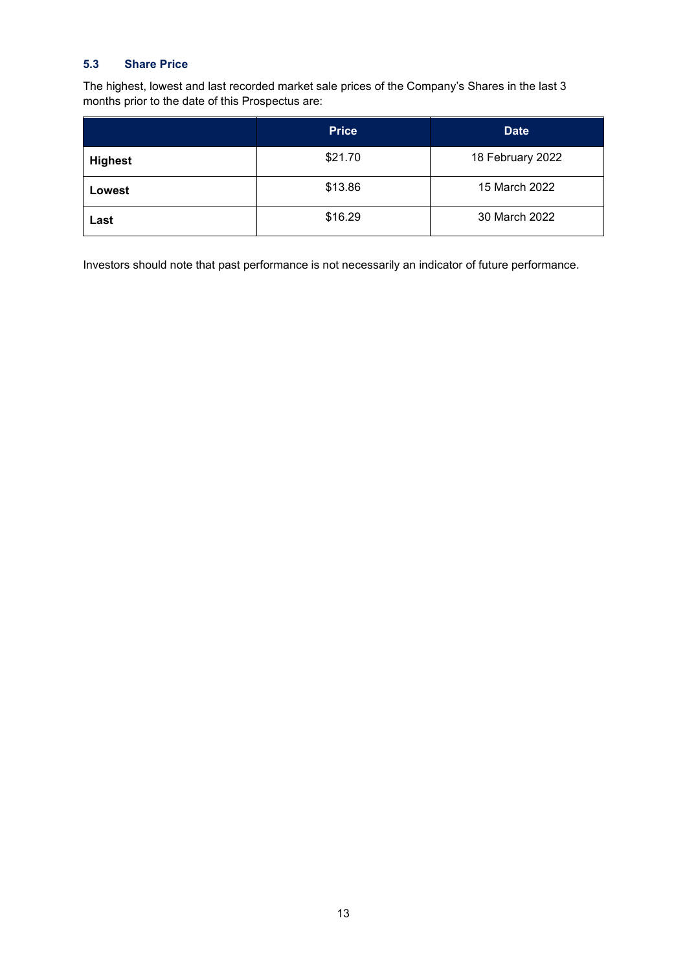### **5.3 Share Price**

The highest, lowest and last recorded market sale prices of the Company's Shares in the last 3 months prior to the date of this Prospectus are:

|                | <b>Price</b> | <b>Date</b>      |
|----------------|--------------|------------------|
| <b>Highest</b> | \$21.70      | 18 February 2022 |
| Lowest         | \$13.86      | 15 March 2022    |
| Last           | \$16.29      | 30 March 2022    |

Investors should note that past performance is not necessarily an indicator of future performance.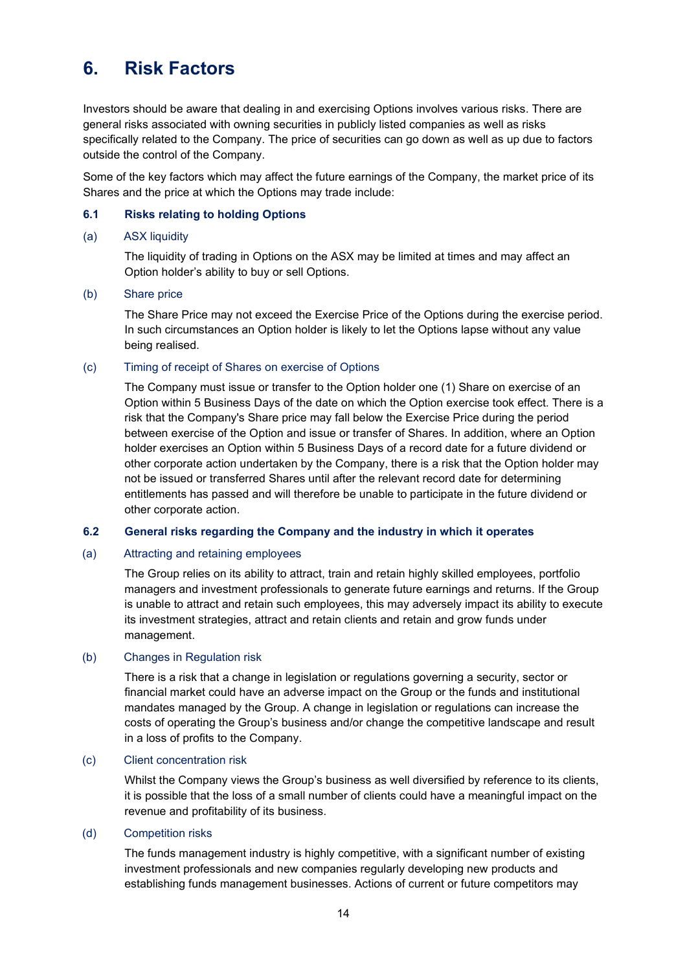# <span id="page-13-0"></span>**6. Risk Factors**

Investors should be aware that dealing in and exercising Options involves various risks. There are general risks associated with owning securities in publicly listed companies as well as risks specifically related to the Company. The price of securities can go down as well as up due to factors outside the control of the Company.

Some of the key factors which may affect the future earnings of the Company, the market price of its Shares and the price at which the Options may trade include:

#### **6.1 Risks relating to holding Options**

#### (a) ASX liquidity

The liquidity of trading in Options on the ASX may be limited at times and may affect an Option holder's ability to buy or sell Options.

#### (b) Share price

The Share Price may not exceed the Exercise Price of the Options during the exercise period. In such circumstances an Option holder is likely to let the Options lapse without any value being realised.

#### (c) Timing of receipt of Shares on exercise of Options

The Company must issue or transfer to the Option holder one (1) Share on exercise of an Option within 5 Business Days of the date on which the Option exercise took effect. There is a risk that the Company's Share price may fall below the Exercise Price during the period between exercise of the Option and issue or transfer of Shares. In addition, where an Option holder exercises an Option within 5 Business Days of a record date for a future dividend or other corporate action undertaken by the Company, there is a risk that the Option holder may not be issued or transferred Shares until after the relevant record date for determining entitlements has passed and will therefore be unable to participate in the future dividend or other corporate action.

#### **6.2 General risks regarding the Company and the industry in which it operates**

#### (a) Attracting and retaining employees

The Group relies on its ability to attract, train and retain highly skilled employees, portfolio managers and investment professionals to generate future earnings and returns. If the Group is unable to attract and retain such employees, this may adversely impact its ability to execute its investment strategies, attract and retain clients and retain and grow funds under management.

#### (b) Changes in Regulation risk

There is a risk that a change in legislation or regulations governing a security, sector or financial market could have an adverse impact on the Group or the funds and institutional mandates managed by the Group. A change in legislation or regulations can increase the costs of operating the Group's business and/or change the competitive landscape and result in a loss of profits to the Company.

#### (c) Client concentration risk

Whilst the Company views the Group's business as well diversified by reference to its clients, it is possible that the loss of a small number of clients could have a meaningful impact on the revenue and profitability of its business.

#### (d) Competition risks

The funds management industry is highly competitive, with a significant number of existing investment professionals and new companies regularly developing new products and establishing funds management businesses. Actions of current or future competitors may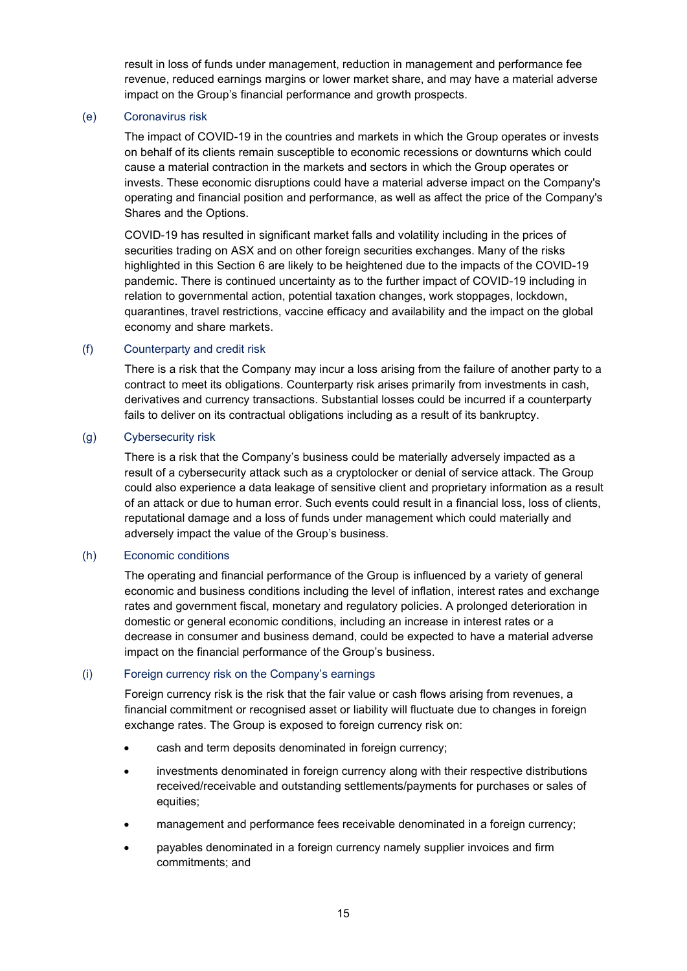result in loss of funds under management, reduction in management and performance fee revenue, reduced earnings margins or lower market share, and may have a material adverse impact on the Group's financial performance and growth prospects.

#### (e) Coronavirus risk

The impact of COVID-19 in the countries and markets in which the Group operates or invests on behalf of its clients remain susceptible to economic recessions or downturns which could cause a material contraction in the markets and sectors in which the Group operates or invests. These economic disruptions could have a material adverse impact on the Company's operating and financial position and performance, as well as affect the price of the Company's Shares and the Options.

COVID-19 has resulted in significant market falls and volatility including in the prices of securities trading on ASX and on other foreign securities exchanges. Many of the risks highlighted in this Section 6 are likely to be heightened due to the impacts of the COVID-19 pandemic. There is continued uncertainty as to the further impact of COVID-19 including in relation to governmental action, potential taxation changes, work stoppages, lockdown, quarantines, travel restrictions, vaccine efficacy and availability and the impact on the global economy and share markets.

#### (f) Counterparty and credit risk

There is a risk that the Company may incur a loss arising from the failure of another party to a contract to meet its obligations. Counterparty risk arises primarily from investments in cash, derivatives and currency transactions. Substantial losses could be incurred if a counterparty fails to deliver on its contractual obligations including as a result of its bankruptcy.

#### (g) Cybersecurity risk

There is a risk that the Company's business could be materially adversely impacted as a result of a cybersecurity attack such as a cryptolocker or denial of service attack. The Group could also experience a data leakage of sensitive client and proprietary information as a result of an attack or due to human error. Such events could result in a financial loss, loss of clients, reputational damage and a loss of funds under management which could materially and adversely impact the value of the Group's business.

#### (h) Economic conditions

The operating and financial performance of the Group is influenced by a variety of general economic and business conditions including the level of inflation, interest rates and exchange rates and government fiscal, monetary and regulatory policies. A prolonged deterioration in domestic or general economic conditions, including an increase in interest rates or a decrease in consumer and business demand, could be expected to have a material adverse impact on the financial performance of the Group's business.

#### (i) Foreign currency risk on the Company's earnings

Foreign currency risk is the risk that the fair value or cash flows arising from revenues, a financial commitment or recognised asset or liability will fluctuate due to changes in foreign exchange rates. The Group is exposed to foreign currency risk on:

- cash and term deposits denominated in foreign currency;
- investments denominated in foreign currency along with their respective distributions received/receivable and outstanding settlements/payments for purchases or sales of equities;
- management and performance fees receivable denominated in a foreign currency;
- payables denominated in a foreign currency namely supplier invoices and firm commitments; and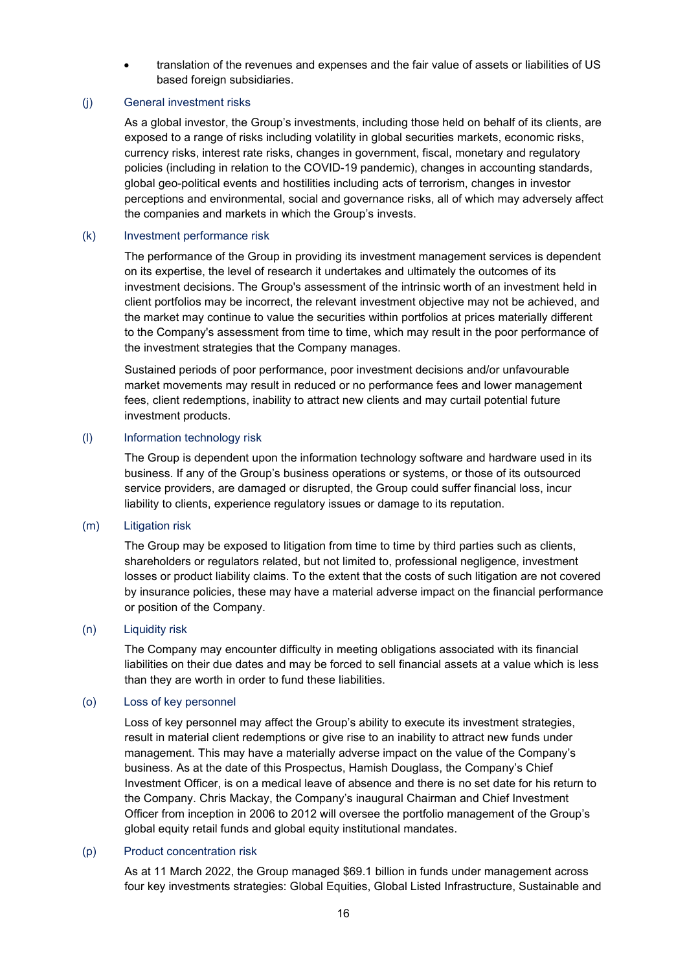• translation of the revenues and expenses and the fair value of assets or liabilities of US based foreign subsidiaries.

#### (j) General investment risks

As a global investor, the Group's investments, including those held on behalf of its clients, are exposed to a range of risks including volatility in global securities markets, economic risks, currency risks, interest rate risks, changes in government, fiscal, monetary and regulatory policies (including in relation to the COVID-19 pandemic), changes in accounting standards, global geo-political events and hostilities including acts of terrorism, changes in investor perceptions and environmental, social and governance risks, all of which may adversely affect the companies and markets in which the Group's invests.

#### (k) Investment performance risk

The performance of the Group in providing its investment management services is dependent on its expertise, the level of research it undertakes and ultimately the outcomes of its investment decisions. The Group's assessment of the intrinsic worth of an investment held in client portfolios may be incorrect, the relevant investment objective may not be achieved, and the market may continue to value the securities within portfolios at prices materially different to the Company's assessment from time to time, which may result in the poor performance of the investment strategies that the Company manages.

Sustained periods of poor performance, poor investment decisions and/or unfavourable market movements may result in reduced or no performance fees and lower management fees, client redemptions, inability to attract new clients and may curtail potential future investment products.

#### (l) Information technology risk

The Group is dependent upon the information technology software and hardware used in its business. If any of the Group's business operations or systems, or those of its outsourced service providers, are damaged or disrupted, the Group could suffer financial loss, incur liability to clients, experience regulatory issues or damage to its reputation.

#### (m) Litigation risk

The Group may be exposed to litigation from time to time by third parties such as clients, shareholders or regulators related, but not limited to, professional negligence, investment losses or product liability claims. To the extent that the costs of such litigation are not covered by insurance policies, these may have a material adverse impact on the financial performance or position of the Company.

#### (n) Liquidity risk

The Company may encounter difficulty in meeting obligations associated with its financial liabilities on their due dates and may be forced to sell financial assets at a value which is less than they are worth in order to fund these liabilities.

#### (o) Loss of key personnel

Loss of key personnel may affect the Group's ability to execute its investment strategies, result in material client redemptions or give rise to an inability to attract new funds under management. This may have a materially adverse impact on the value of the Company's business. As at the date of this Prospectus, Hamish Douglass, the Company's Chief Investment Officer, is on a medical leave of absence and there is no set date for his return to the Company. Chris Mackay, the Company's inaugural Chairman and Chief Investment Officer from inception in 2006 to 2012 will oversee the portfolio management of the Group's global equity retail funds and global equity institutional mandates.

#### (p) Product concentration risk

As at 11 March 2022, the Group managed \$69.1 billion in funds under management across four key investments strategies: Global Equities, Global Listed Infrastructure, Sustainable and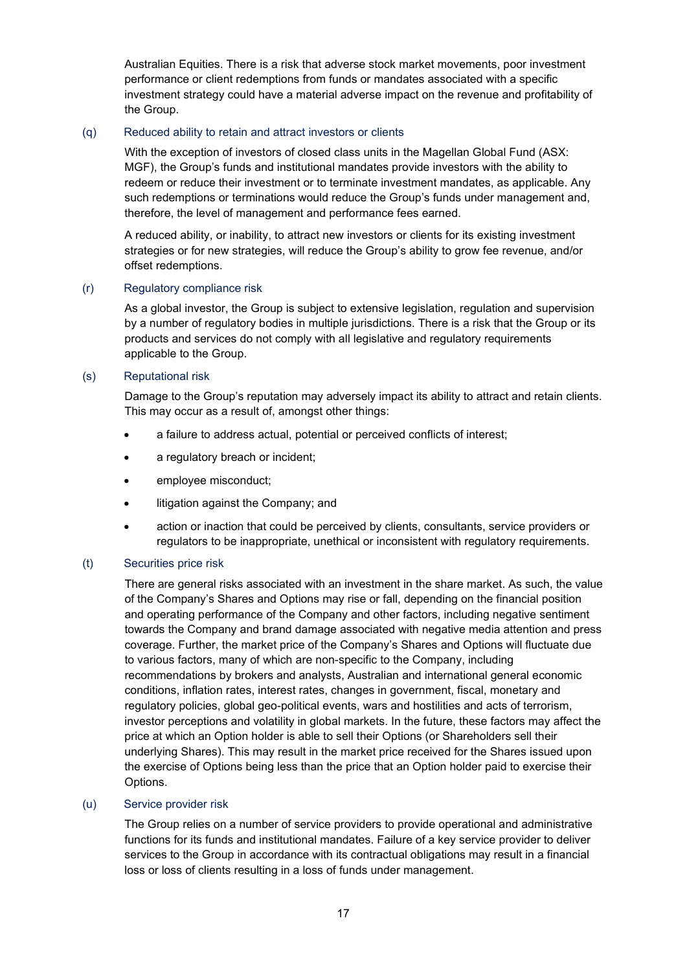Australian Equities. There is a risk that adverse stock market movements, poor investment performance or client redemptions from funds or mandates associated with a specific investment strategy could have a material adverse impact on the revenue and profitability of the Group.

#### (q) Reduced ability to retain and attract investors or clients

With the exception of investors of closed class units in the Magellan Global Fund (ASX: MGF), the Group's funds and institutional mandates provide investors with the ability to redeem or reduce their investment or to terminate investment mandates, as applicable. Any such redemptions or terminations would reduce the Group's funds under management and, therefore, the level of management and performance fees earned.

A reduced ability, or inability, to attract new investors or clients for its existing investment strategies or for new strategies, will reduce the Group's ability to grow fee revenue, and/or offset redemptions.

#### (r) Regulatory compliance risk

As a global investor, the Group is subject to extensive legislation, regulation and supervision by a number of regulatory bodies in multiple jurisdictions. There is a risk that the Group or its products and services do not comply with all legislative and regulatory requirements applicable to the Group.

#### (s) Reputational risk

Damage to the Group's reputation may adversely impact its ability to attract and retain clients. This may occur as a result of, amongst other things:

- a failure to address actual, potential or perceived conflicts of interest;
- a regulatory breach or incident;
- employee misconduct;
- litigation against the Company; and
- action or inaction that could be perceived by clients, consultants, service providers or regulators to be inappropriate, unethical or inconsistent with regulatory requirements.

#### (t) Securities price risk

There are general risks associated with an investment in the share market. As such, the value of the Company's Shares and Options may rise or fall, depending on the financial position and operating performance of the Company and other factors, including negative sentiment towards the Company and brand damage associated with negative media attention and press coverage. Further, the market price of the Company's Shares and Options will fluctuate due to various factors, many of which are non-specific to the Company, including recommendations by brokers and analysts, Australian and international general economic conditions, inflation rates, interest rates, changes in government, fiscal, monetary and regulatory policies, global geo-political events, wars and hostilities and acts of terrorism, investor perceptions and volatility in global markets. In the future, these factors may affect the price at which an Option holder is able to sell their Options (or Shareholders sell their underlying Shares). This may result in the market price received for the Shares issued upon the exercise of Options being less than the price that an Option holder paid to exercise their Options.

#### (u) Service provider risk

The Group relies on a number of service providers to provide operational and administrative functions for its funds and institutional mandates. Failure of a key service provider to deliver services to the Group in accordance with its contractual obligations may result in a financial loss or loss of clients resulting in a loss of funds under management.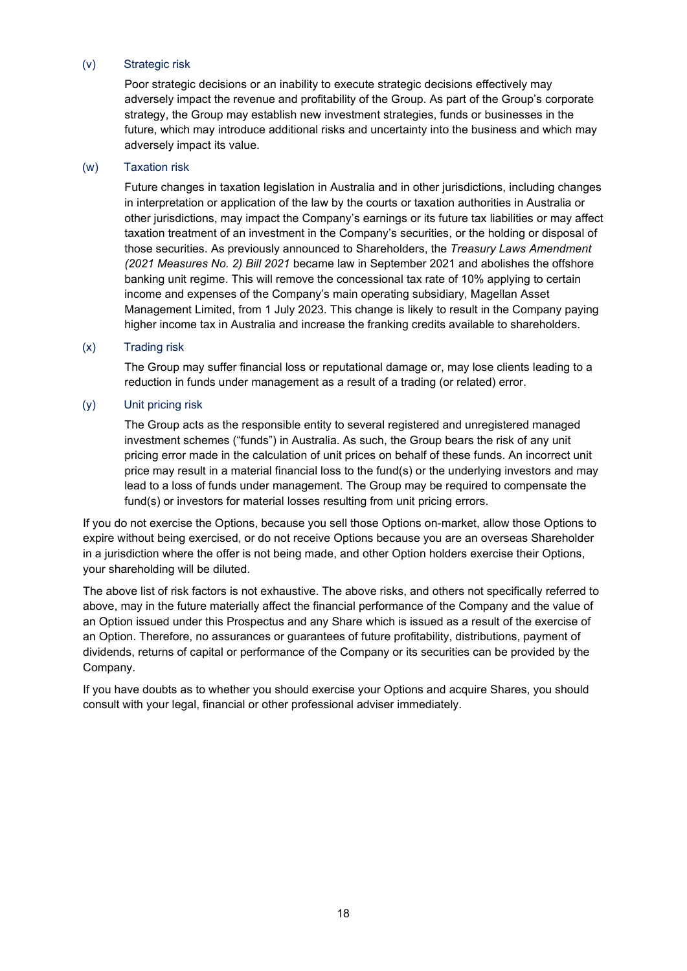#### (v) Strategic risk

Poor strategic decisions or an inability to execute strategic decisions effectively may adversely impact the revenue and profitability of the Group. As part of the Group's corporate strategy, the Group may establish new investment strategies, funds or businesses in the future, which may introduce additional risks and uncertainty into the business and which may adversely impact its value.

#### (w) Taxation risk

Future changes in taxation legislation in Australia and in other jurisdictions, including changes in interpretation or application of the law by the courts or taxation authorities in Australia or other jurisdictions, may impact the Company's earnings or its future tax liabilities or may affect taxation treatment of an investment in the Company's securities, or the holding or disposal of those securities. As previously announced to Shareholders, the *Treasury Laws Amendment (2021 Measures No. 2) Bill 2021* became law in September 2021 and abolishes the offshore banking unit regime. This will remove the concessional tax rate of 10% applying to certain income and expenses of the Company's main operating subsidiary, Magellan Asset Management Limited, from 1 July 2023. This change is likely to result in the Company paying higher income tax in Australia and increase the franking credits available to shareholders.

#### (x) Trading risk

The Group may suffer financial loss or reputational damage or, may lose clients leading to a reduction in funds under management as a result of a trading (or related) error.

#### (y) Unit pricing risk

The Group acts as the responsible entity to several registered and unregistered managed investment schemes ("funds") in Australia. As such, the Group bears the risk of any unit pricing error made in the calculation of unit prices on behalf of these funds. An incorrect unit price may result in a material financial loss to the fund(s) or the underlying investors and may lead to a loss of funds under management. The Group may be required to compensate the fund(s) or investors for material losses resulting from unit pricing errors.

If you do not exercise the Options, because you sell those Options on-market, allow those Options to expire without being exercised, or do not receive Options because you are an overseas Shareholder in a jurisdiction where the offer is not being made, and other Option holders exercise their Options, your shareholding will be diluted.

The above list of risk factors is not exhaustive. The above risks, and others not specifically referred to above, may in the future materially affect the financial performance of the Company and the value of an Option issued under this Prospectus and any Share which is issued as a result of the exercise of an Option. Therefore, no assurances or guarantees of future profitability, distributions, payment of dividends, returns of capital or performance of the Company or its securities can be provided by the Company.

If you have doubts as to whether you should exercise your Options and acquire Shares, you should consult with your legal, financial or other professional adviser immediately.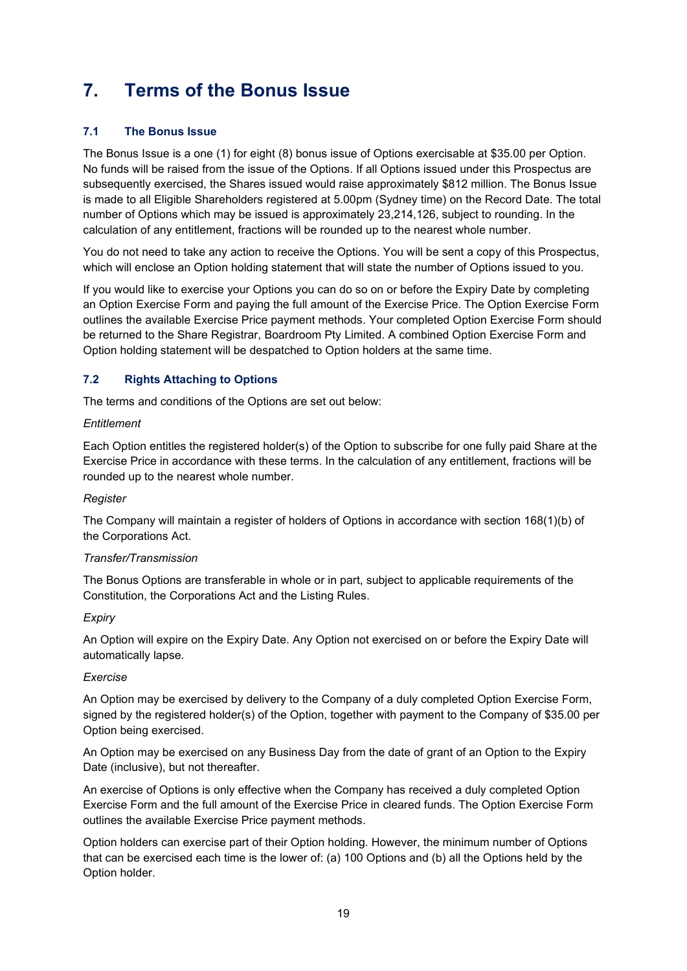# <span id="page-18-0"></span>**7. Terms of the Bonus Issue**

# <span id="page-18-1"></span>**7.1 The Bonus Issue**

The Bonus Issue is a one (1) for eight (8) bonus issue of Options exercisable at \$35.00 per Option. No funds will be raised from the issue of the Options. If all Options issued under this Prospectus are subsequently exercised, the Shares issued would raise approximately \$812 million. The Bonus Issue is made to all Eligible Shareholders registered at 5.00pm (Sydney time) on the Record Date. The total number of Options which may be issued is approximately 23,214,126, subject to rounding. In the calculation of any entitlement, fractions will be rounded up to the nearest whole number.

You do not need to take any action to receive the Options. You will be sent a copy of this Prospectus, which will enclose an Option holding statement that will state the number of Options issued to you.

If you would like to exercise your Options you can do so on or before the Expiry Date by completing an Option Exercise Form and paying the full amount of the Exercise Price. The Option Exercise Form outlines the available Exercise Price payment methods. Your completed Option Exercise Form should be returned to the Share Registrar, Boardroom Pty Limited. A combined Option Exercise Form and Option holding statement will be despatched to Option holders at the same time.

# <span id="page-18-2"></span>**7.2 Rights Attaching to Options**

The terms and conditions of the Options are set out below:

#### *Entitlement*

Each Option entitles the registered holder(s) of the Option to subscribe for one fully paid Share at the Exercise Price in accordance with these terms. In the calculation of any entitlement, fractions will be rounded up to the nearest whole number.

# *Register*

The Company will maintain a register of holders of Options in accordance with section 168(1)(b) of the Corporations Act.

#### *Transfer/Transmission*

The Bonus Options are transferable in whole or in part, subject to applicable requirements of the Constitution, the Corporations Act and the Listing Rules.

# *Expiry*

An Option will expire on the Expiry Date. Any Option not exercised on or before the Expiry Date will automatically lapse.

#### *Exercise*

An Option may be exercised by delivery to the Company of a duly completed Option Exercise Form, signed by the registered holder(s) of the Option, together with payment to the Company of \$35.00 per Option being exercised.

An Option may be exercised on any Business Day from the date of grant of an Option to the Expiry Date (inclusive), but not thereafter.

An exercise of Options is only effective when the Company has received a duly completed Option Exercise Form and the full amount of the Exercise Price in cleared funds. The Option Exercise Form outlines the available Exercise Price payment methods.

Option holders can exercise part of their Option holding. However, the minimum number of Options that can be exercised each time is the lower of: (a) 100 Options and (b) all the Options held by the Option holder.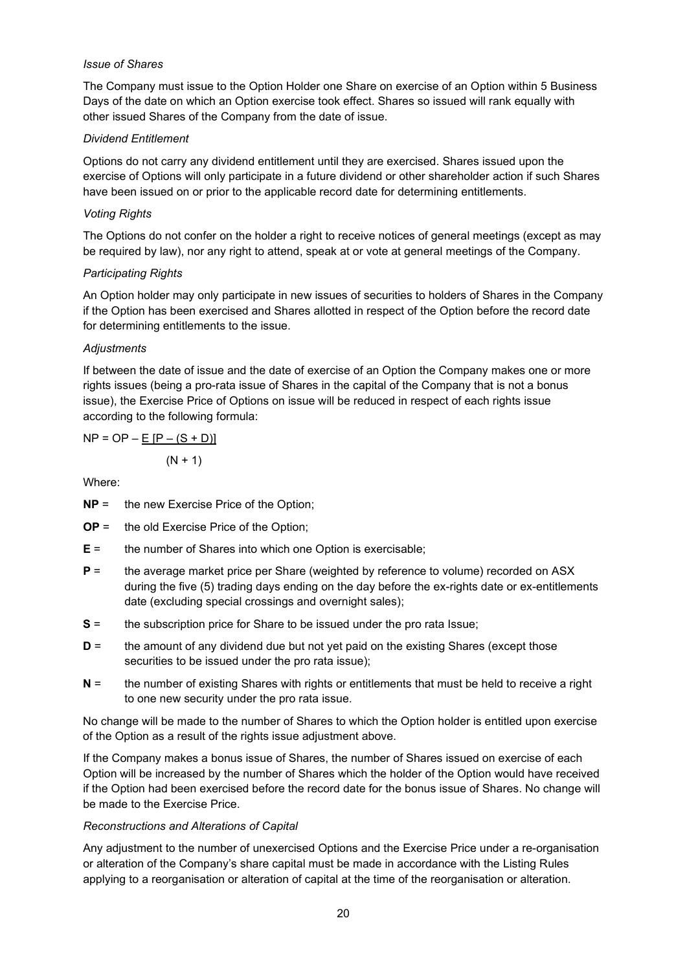#### *Issue of Shares*

The Company must issue to the Option Holder one Share on exercise of an Option within 5 Business Days of the date on which an Option exercise took effect. Shares so issued will rank equally with other issued Shares of the Company from the date of issue.

# *Dividend Entitlement*

Options do not carry any dividend entitlement until they are exercised. Shares issued upon the exercise of Options will only participate in a future dividend or other shareholder action if such Shares have been issued on or prior to the applicable record date for determining entitlements.

## *Voting Rights*

The Options do not confer on the holder a right to receive notices of general meetings (except as may be required by law), nor any right to attend, speak at or vote at general meetings of the Company.

### *Participating Rights*

An Option holder may only participate in new issues of securities to holders of Shares in the Company if the Option has been exercised and Shares allotted in respect of the Option before the record date for determining entitlements to the issue.

### *Adjustments*

If between the date of issue and the date of exercise of an Option the Company makes one or more rights issues (being a pro-rata issue of Shares in the capital of the Company that is not a bonus issue), the Exercise Price of Options on issue will be reduced in respect of each rights issue according to the following formula:

 $NP = OP - E [P - (S + D)]$ 

 $(N + 1)$ 

Where:

- **NP** = the new Exercise Price of the Option;
- **OP** = the old Exercise Price of the Option;
- **E** = the number of Shares into which one Option is exercisable;
- **P** = the average market price per Share (weighted by reference to volume) recorded on ASX during the five (5) trading days ending on the day before the ex-rights date or ex-entitlements date (excluding special crossings and overnight sales);
- **S** = the subscription price for Share to be issued under the pro rata Issue;
- **D** = the amount of any dividend due but not yet paid on the existing Shares (except those securities to be issued under the pro rata issue);
- **N** = the number of existing Shares with rights or entitlements that must be held to receive a right to one new security under the pro rata issue.

No change will be made to the number of Shares to which the Option holder is entitled upon exercise of the Option as a result of the rights issue adjustment above.

If the Company makes a bonus issue of Shares, the number of Shares issued on exercise of each Option will be increased by the number of Shares which the holder of the Option would have received if the Option had been exercised before the record date for the bonus issue of Shares. No change will be made to the Exercise Price.

# *Reconstructions and Alterations of Capital*

Any adjustment to the number of unexercised Options and the Exercise Price under a re-organisation or alteration of the Company's share capital must be made in accordance with the Listing Rules applying to a reorganisation or alteration of capital at the time of the reorganisation or alteration.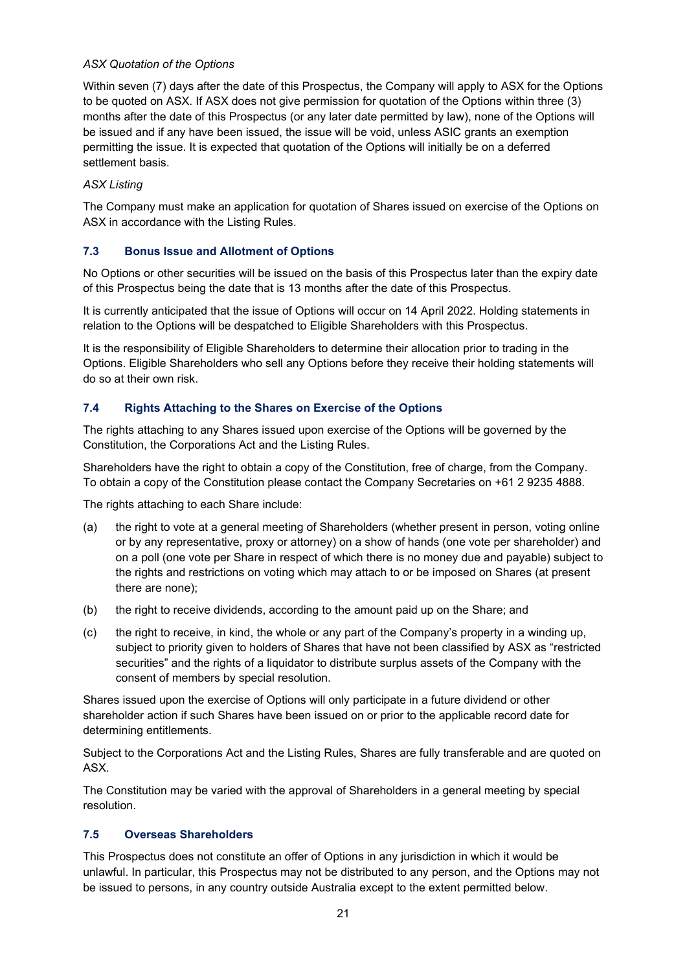# *ASX Quotation of the Options*

Within seven (7) days after the date of this Prospectus, the Company will apply to ASX for the Options to be quoted on ASX. If ASX does not give permission for quotation of the Options within three (3) months after the date of this Prospectus (or any later date permitted by law), none of the Options will be issued and if any have been issued, the issue will be void, unless ASIC grants an exemption permitting the issue. It is expected that quotation of the Options will initially be on a deferred settlement basis.

#### *ASX Listing*

The Company must make an application for quotation of Shares issued on exercise of the Options on ASX in accordance with the Listing Rules.

### **7.3 Bonus Issue and Allotment of Options**

No Options or other securities will be issued on the basis of this Prospectus later than the expiry date of this Prospectus being the date that is 13 months after the date of this Prospectus.

It is currently anticipated that the issue of Options will occur on 14 April 2022. Holding statements in relation to the Options will be despatched to Eligible Shareholders with this Prospectus.

It is the responsibility of Eligible Shareholders to determine their allocation prior to trading in the Options. Eligible Shareholders who sell any Options before they receive their holding statements will do so at their own risk.

### <span id="page-20-1"></span>**7.4 Rights Attaching to the Shares on Exercise of the Options**

The rights attaching to any Shares issued upon exercise of the Options will be governed by the Constitution, the Corporations Act and the Listing Rules.

Shareholders have the right to obtain a copy of the Constitution, free of charge, from the Company. To obtain a copy of the Constitution please contact the Company Secretaries on +61 2 9235 4888.

The rights attaching to each Share include:

- (a) the right to vote at a general meeting of Shareholders (whether present in person, voting online or by any representative, proxy or attorney) on a show of hands (one vote per shareholder) and on a poll (one vote per Share in respect of which there is no money due and payable) subject to the rights and restrictions on voting which may attach to or be imposed on Shares (at present there are none);
- (b) the right to receive dividends, according to the amount paid up on the Share; and
- (c) the right to receive, in kind, the whole or any part of the Company's property in a winding up, subject to priority given to holders of Shares that have not been classified by ASX as "restricted securities" and the rights of a liquidator to distribute surplus assets of the Company with the consent of members by special resolution.

Shares issued upon the exercise of Options will only participate in a future dividend or other shareholder action if such Shares have been issued on or prior to the applicable record date for determining entitlements.

Subject to the Corporations Act and the Listing Rules, Shares are fully transferable and are quoted on ASX.

The Constitution may be varied with the approval of Shareholders in a general meeting by special resolution.

#### <span id="page-20-0"></span>**7.5 Overseas Shareholders**

This Prospectus does not constitute an offer of Options in any jurisdiction in which it would be unlawful. In particular, this Prospectus may not be distributed to any person, and the Options may not be issued to persons, in any country outside Australia except to the extent permitted below.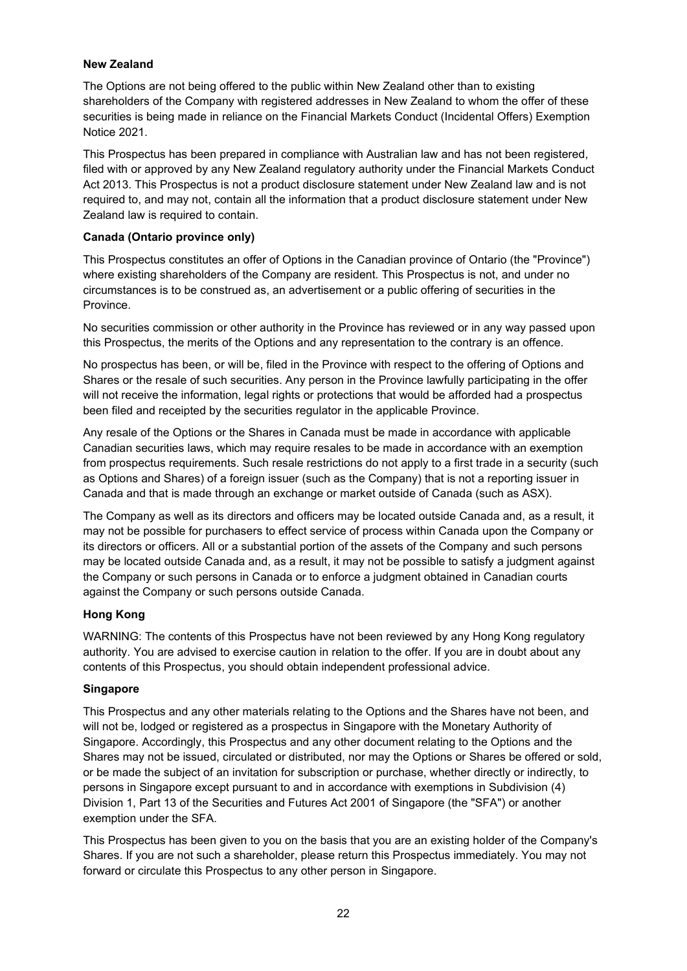### **New Zealand**

The Options are not being offered to the public within New Zealand other than to existing shareholders of the Company with registered addresses in New Zealand to whom the offer of these securities is being made in reliance on the Financial Markets Conduct (Incidental Offers) Exemption Notice 2021.

This Prospectus has been prepared in compliance with Australian law and has not been registered, filed with or approved by any New Zealand regulatory authority under the Financial Markets Conduct Act 2013. This Prospectus is not a product disclosure statement under New Zealand law and is not required to, and may not, contain all the information that a product disclosure statement under New Zealand law is required to contain.

#### **Canada (Ontario province only)**

This Prospectus constitutes an offer of Options in the Canadian province of Ontario (the "Province") where existing shareholders of the Company are resident. This Prospectus is not, and under no circumstances is to be construed as, an advertisement or a public offering of securities in the Province.

No securities commission or other authority in the Province has reviewed or in any way passed upon this Prospectus, the merits of the Options and any representation to the contrary is an offence.

No prospectus has been, or will be, filed in the Province with respect to the offering of Options and Shares or the resale of such securities. Any person in the Province lawfully participating in the offer will not receive the information, legal rights or protections that would be afforded had a prospectus been filed and receipted by the securities regulator in the applicable Province.

Any resale of the Options or the Shares in Canada must be made in accordance with applicable Canadian securities laws, which may require resales to be made in accordance with an exemption from prospectus requirements. Such resale restrictions do not apply to a first trade in a security (such as Options and Shares) of a foreign issuer (such as the Company) that is not a reporting issuer in Canada and that is made through an exchange or market outside of Canada (such as ASX).

The Company as well as its directors and officers may be located outside Canada and, as a result, it may not be possible for purchasers to effect service of process within Canada upon the Company or its directors or officers. All or a substantial portion of the assets of the Company and such persons may be located outside Canada and, as a result, it may not be possible to satisfy a judgment against the Company or such persons in Canada or to enforce a judgment obtained in Canadian courts against the Company or such persons outside Canada.

# **Hong Kong**

WARNING: The contents of this Prospectus have not been reviewed by any Hong Kong regulatory authority. You are advised to exercise caution in relation to the offer. If you are in doubt about any contents of this Prospectus, you should obtain independent professional advice.

#### **Singapore**

This Prospectus and any other materials relating to the Options and the Shares have not been, and will not be, lodged or registered as a prospectus in Singapore with the Monetary Authority of Singapore. Accordingly, this Prospectus and any other document relating to the Options and the Shares may not be issued, circulated or distributed, nor may the Options or Shares be offered or sold, or be made the subject of an invitation for subscription or purchase, whether directly or indirectly, to persons in Singapore except pursuant to and in accordance with exemptions in Subdivision (4) Division 1, Part 13 of the Securities and Futures Act 2001 of Singapore (the "SFA") or another exemption under the SFA.

This Prospectus has been given to you on the basis that you are an existing holder of the Company's Shares. If you are not such a shareholder, please return this Prospectus immediately. You may not forward or circulate this Prospectus to any other person in Singapore.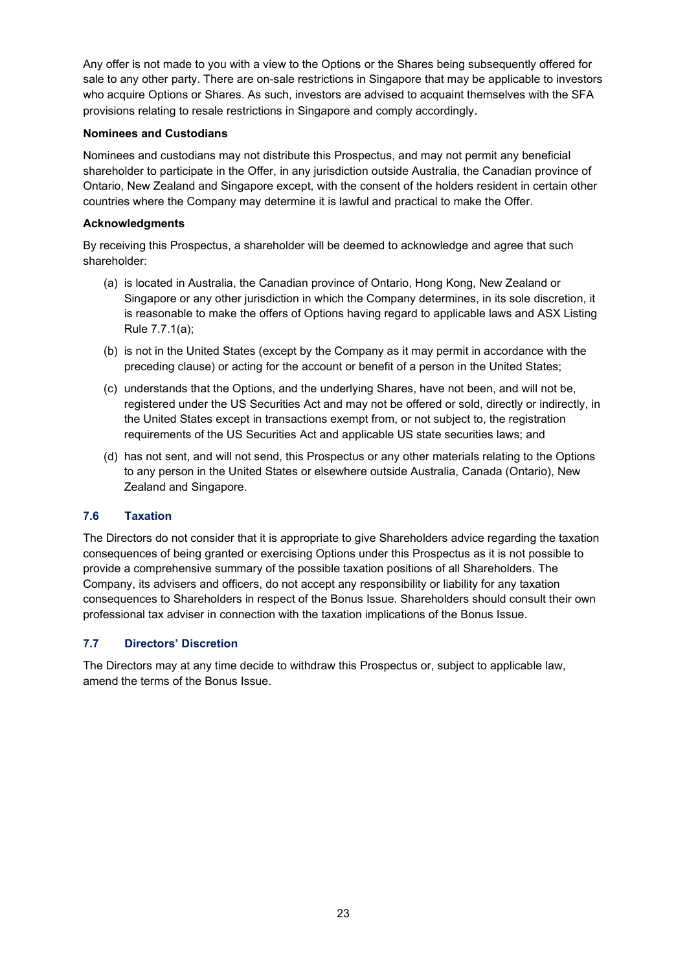Any offer is not made to you with a view to the Options or the Shares being subsequently offered for sale to any other party. There are on-sale restrictions in Singapore that may be applicable to investors who acquire Options or Shares. As such, investors are advised to acquaint themselves with the SFA provisions relating to resale restrictions in Singapore and comply accordingly.

#### **Nominees and Custodians**

Nominees and custodians may not distribute this Prospectus, and may not permit any beneficial shareholder to participate in the Offer, in any jurisdiction outside Australia, the Canadian province of Ontario, New Zealand and Singapore except, with the consent of the holders resident in certain other countries where the Company may determine it is lawful and practical to make the Offer.

## **Acknowledgments**

By receiving this Prospectus, a shareholder will be deemed to acknowledge and agree that such shareholder:

- (a) is located in Australia, the Canadian province of Ontario, Hong Kong, New Zealand or Singapore or any other jurisdiction in which the Company determines, in its sole discretion, it is reasonable to make the offers of Options having regard to applicable laws and ASX Listing Rule 7.7.1(a);
- (b) is not in the United States (except by the Company as it may permit in accordance with the preceding clause) or acting for the account or benefit of a person in the United States;
- (c) understands that the Options, and the underlying Shares, have not been, and will not be, registered under the US Securities Act and may not be offered or sold, directly or indirectly, in the United States except in transactions exempt from, or not subject to, the registration requirements of the US Securities Act and applicable US state securities laws; and
- (d) has not sent, and will not send, this Prospectus or any other materials relating to the Options to any person in the United States or elsewhere outside Australia, Canada (Ontario), New Zealand and Singapore.

# **7.6 Taxation**

The Directors do not consider that it is appropriate to give Shareholders advice regarding the taxation consequences of being granted or exercising Options under this Prospectus as it is not possible to provide a comprehensive summary of the possible taxation positions of all Shareholders. The Company, its advisers and officers, do not accept any responsibility or liability for any taxation consequences to Shareholders in respect of the Bonus Issue. Shareholders should consult their own professional tax adviser in connection with the taxation implications of the Bonus Issue.

# **7.7 Directors' Discretion**

The Directors may at any time decide to withdraw this Prospectus or, subject to applicable law, amend the terms of the Bonus Issue.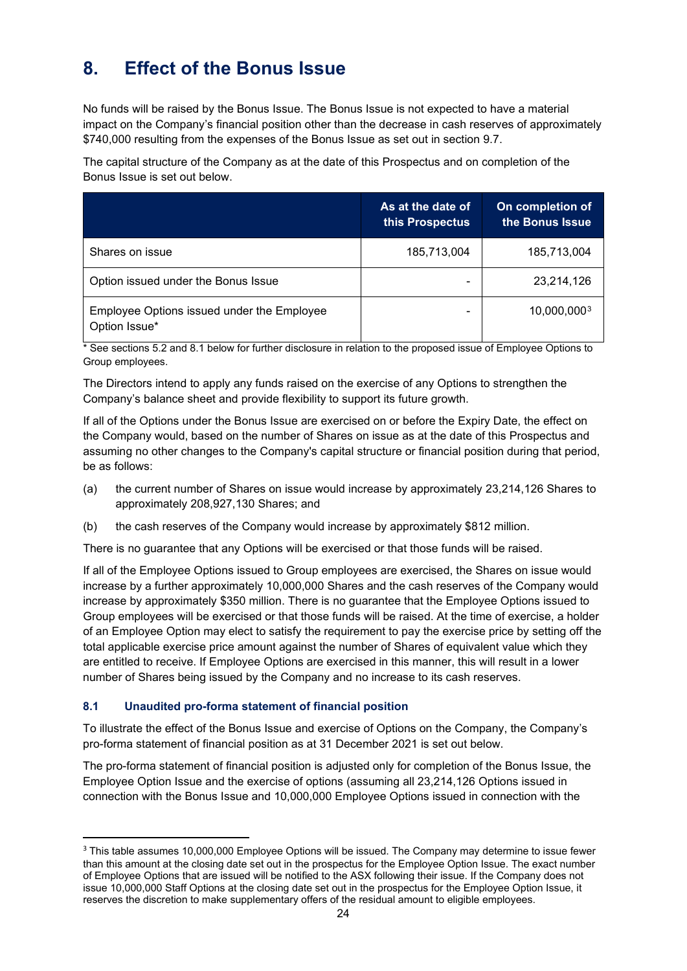# <span id="page-23-0"></span>**8. Effect of the Bonus Issue**

No funds will be raised by the Bonus Issue. The Bonus Issue is not expected to have a material impact on the Company's financial position other than the decrease in cash reserves of approximately \$740,000 resulting from the expenses of the Bonus Issue as set out in section [9.7.](#page-29-0)

The capital structure of the Company as at the date of this Prospectus and on completion of the Bonus Issue is set out below.

|                                                             | As at the date of<br>this Prospectus | On completion of<br>the Bonus Issue |
|-------------------------------------------------------------|--------------------------------------|-------------------------------------|
| Shares on issue                                             | 185,713,004                          | 185,713,004                         |
| Option issued under the Bonus Issue                         |                                      | 23,214,126                          |
| Employee Options issued under the Employee<br>Option Issue* | $\blacksquare$                       | 10,000,0003                         |

\* See sections 5.2 and 8.1 below for further disclosure in relation to the proposed issue of Employee Options to Group employees.

The Directors intend to apply any funds raised on the exercise of any Options to strengthen the Company's balance sheet and provide flexibility to support its future growth.

If all of the Options under the Bonus Issue are exercised on or before the Expiry Date, the effect on the Company would, based on the number of Shares on issue as at the date of this Prospectus and assuming no other changes to the Company's capital structure or financial position during that period, be as follows:

- (a) the current number of Shares on issue would increase by approximately 23,214,126 Shares to approximately 208,927,130 Shares; and
- (b) the cash reserves of the Company would increase by approximately \$812 million.

There is no guarantee that any Options will be exercised or that those funds will be raised.

If all of the Employee Options issued to Group employees are exercised, the Shares on issue would increase by a further approximately 10,000,000 Shares and the cash reserves of the Company would increase by approximately \$350 million. There is no guarantee that the Employee Options issued to Group employees will be exercised or that those funds will be raised. At the time of exercise, a holder of an Employee Option may elect to satisfy the requirement to pay the exercise price by setting off the total applicable exercise price amount against the number of Shares of equivalent value which they are entitled to receive. If Employee Options are exercised in this manner, this will result in a lower number of Shares being issued by the Company and no increase to its cash reserves.

# **8.1 Unaudited pro-forma statement of financial position**

To illustrate the effect of the Bonus Issue and exercise of Options on the Company, the Company's pro-forma statement of financial position as at 31 December 2021 is set out below.

The pro-forma statement of financial position is adjusted only for completion of the Bonus Issue, the Employee Option Issue and the exercise of options (assuming all 23,214,126 Options issued in connection with the Bonus Issue and 10,000,000 Employee Options issued in connection with the

<span id="page-23-1"></span><sup>&</sup>lt;sup>3</sup> This table assumes 10,000,000 Employee Options will be issued. The Company may determine to issue fewer than this amount at the closing date set out in the prospectus for the Employee Option Issue. The exact number of Employee Options that are issued will be notified to the ASX following their issue. If the Company does not issue 10,000,000 Staff Options at the closing date set out in the prospectus for the Employee Option Issue, it reserves the discretion to make supplementary offers of the residual amount to eligible employees.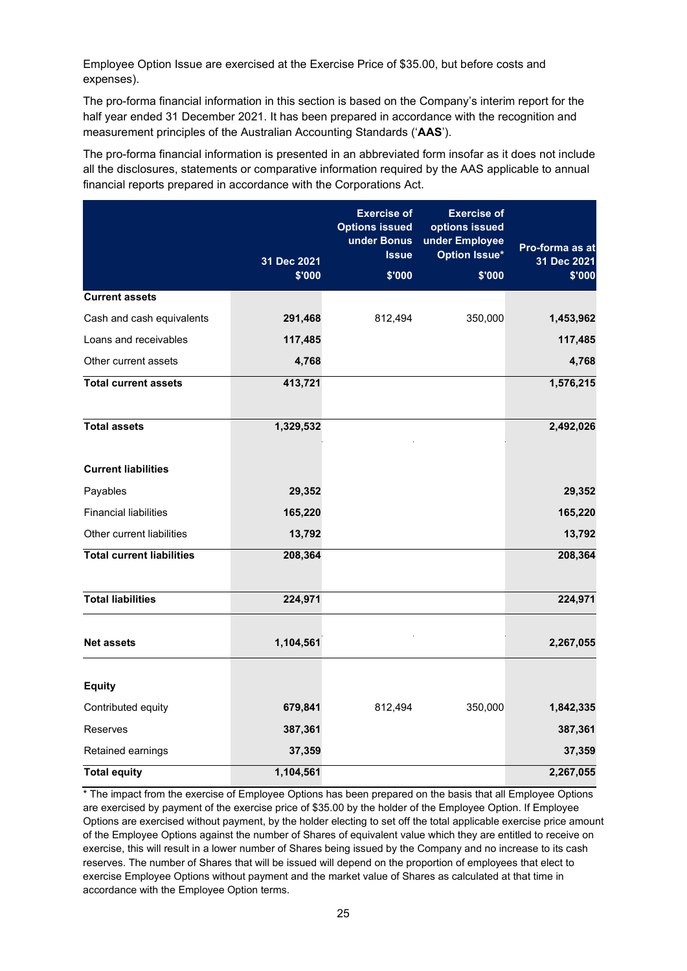Employee Option Issue are exercised at the Exercise Price of \$35.00, but before costs and expenses).

The pro-forma financial information in this section is based on the Company's interim report for the half year ended 31 December 2021. It has been prepared in accordance with the recognition and measurement principles of the Australian Accounting Standards ('**AAS**').

The pro-forma financial information is presented in an abbreviated form insofar as it does not include all the disclosures, statements or comparative information required by the AAS applicable to annual financial reports prepared in accordance with the Corporations Act.

|                                  | 31 Dec 2021<br>\$'000 | <b>Exercise of</b><br><b>Options issued</b><br>under Bonus<br><b>Issue</b><br>\$'000 | <b>Exercise of</b><br>options issued<br>under Employee<br><b>Option Issue*</b><br>\$'000 | Pro-forma as at<br>31 Dec 2021<br>\$'000 |
|----------------------------------|-----------------------|--------------------------------------------------------------------------------------|------------------------------------------------------------------------------------------|------------------------------------------|
| <b>Current assets</b>            |                       |                                                                                      |                                                                                          |                                          |
| Cash and cash equivalents        | 291,468               | 812,494                                                                              | 350,000                                                                                  | 1,453,962                                |
| Loans and receivables            | 117,485               |                                                                                      |                                                                                          | 117,485                                  |
| Other current assets             | 4,768                 |                                                                                      |                                                                                          | 4,768                                    |
| <b>Total current assets</b>      | 413,721               |                                                                                      |                                                                                          | 1,576,215                                |
| <b>Total assets</b>              | 1,329,532             |                                                                                      |                                                                                          | 2,492,026                                |
| <b>Current liabilities</b>       |                       |                                                                                      |                                                                                          |                                          |
| Payables                         | 29,352                |                                                                                      |                                                                                          | 29,352                                   |
| <b>Financial liabilities</b>     | 165,220               |                                                                                      |                                                                                          | 165,220                                  |
| Other current liabilities        | 13,792                |                                                                                      |                                                                                          | 13,792                                   |
| <b>Total current liabilities</b> | 208,364               |                                                                                      |                                                                                          | 208,364                                  |
| <b>Total liabilities</b>         | 224,971               |                                                                                      |                                                                                          | 224,971                                  |
| <b>Net assets</b>                | 1,104,561             |                                                                                      |                                                                                          | 2,267,055                                |
| <b>Equity</b>                    |                       |                                                                                      |                                                                                          |                                          |
| Contributed equity               | 679,841               | 812,494                                                                              | 350,000                                                                                  | 1,842,335                                |
| Reserves                         | 387,361               |                                                                                      |                                                                                          | 387,361                                  |
| Retained earnings                | 37,359                |                                                                                      |                                                                                          | 37,359                                   |
| <b>Total equity</b>              | 1,104,561             |                                                                                      |                                                                                          | 2,267,055                                |

\* The impact from the exercise of Employee Options has been prepared on the basis that all Employee Options are exercised by payment of the exercise price of \$35.00 by the holder of the Employee Option. If Employee Options are exercised without payment, by the holder electing to set off the total applicable exercise price amount of the Employee Options against the number of Shares of equivalent value which they are entitled to receive on exercise, this will result in a lower number of Shares being issued by the Company and no increase to its cash reserves. The number of Shares that will be issued will depend on the proportion of employees that elect to exercise Employee Options without payment and the market value of Shares as calculated at that time in accordance with the Employee Option terms.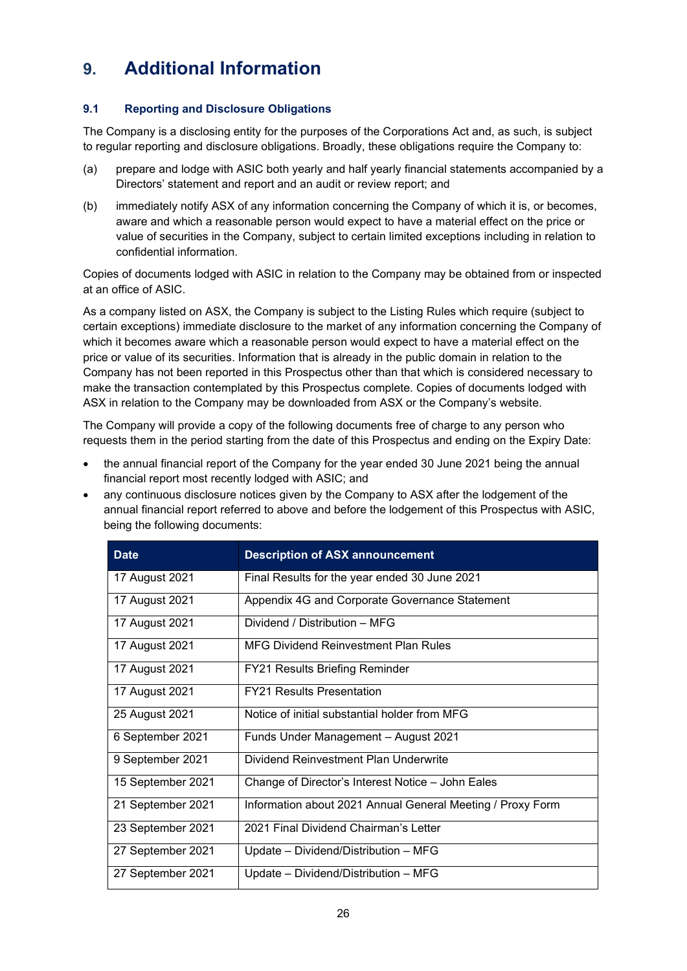# <span id="page-25-0"></span>**9. Additional Information**

# <span id="page-25-1"></span>**9.1 Reporting and Disclosure Obligations**

The Company is a disclosing entity for the purposes of the Corporations Act and, as such, is subject to regular reporting and disclosure obligations. Broadly, these obligations require the Company to:

- (a) prepare and lodge with ASIC both yearly and half yearly financial statements accompanied by a Directors' statement and report and an audit or review report; and
- (b) immediately notify ASX of any information concerning the Company of which it is, or becomes, aware and which a reasonable person would expect to have a material effect on the price or value of securities in the Company, subject to certain limited exceptions including in relation to confidential information.

Copies of documents lodged with ASIC in relation to the Company may be obtained from or inspected at an office of ASIC.

As a company listed on ASX, the Company is subject to the Listing Rules which require (subject to certain exceptions) immediate disclosure to the market of any information concerning the Company of which it becomes aware which a reasonable person would expect to have a material effect on the price or value of its securities. Information that is already in the public domain in relation to the Company has not been reported in this Prospectus other than that which is considered necessary to make the transaction contemplated by this Prospectus complete. Copies of documents lodged with ASX in relation to the Company may be downloaded from ASX or the Company's website.

The Company will provide a copy of the following documents free of charge to any person who requests them in the period starting from the date of this Prospectus and ending on the Expiry Date:

- the annual financial report of the Company for the year ended 30 June 2021 being the annual financial report most recently lodged with ASIC; and
- any continuous disclosure notices given by the Company to ASX after the lodgement of the annual financial report referred to above and before the lodgement of this Prospectus with ASIC, being the following documents:

| <b>Date</b>       | <b>Description of ASX announcement</b>                     |
|-------------------|------------------------------------------------------------|
| 17 August 2021    | Final Results for the year ended 30 June 2021              |
| 17 August 2021    | Appendix 4G and Corporate Governance Statement             |
| 17 August 2021    | Dividend / Distribution - MFG                              |
| 17 August 2021    | <b>MFG Dividend Reinvestment Plan Rules</b>                |
| 17 August 2021    | <b>FY21 Results Briefing Reminder</b>                      |
| 17 August 2021    | <b>FY21 Results Presentation</b>                           |
| 25 August 2021    | Notice of initial substantial holder from MFG              |
| 6 September 2021  | Funds Under Management - August 2021                       |
| 9 September 2021  | Dividend Reinvestment Plan Underwrite                      |
| 15 September 2021 | Change of Director's Interest Notice - John Eales          |
| 21 September 2021 | Information about 2021 Annual General Meeting / Proxy Form |
| 23 September 2021 | 2021 Final Dividend Chairman's Letter                      |
| 27 September 2021 | Update - Dividend/Distribution - MFG                       |
| 27 September 2021 | Update - Dividend/Distribution - MFG                       |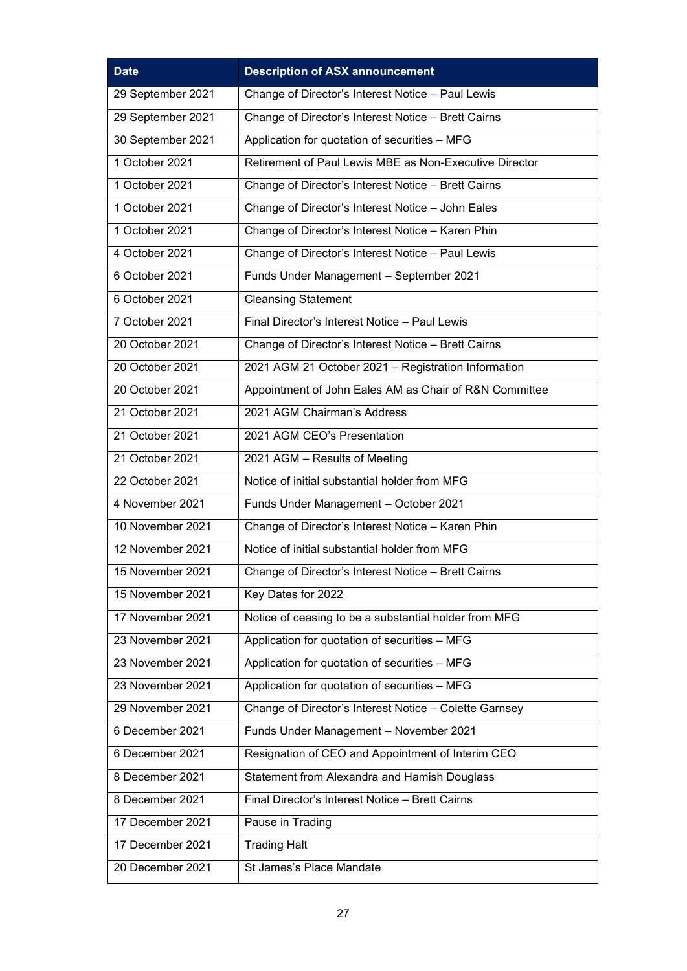| <b>Date</b>       | <b>Description of ASX announcement</b>                 |
|-------------------|--------------------------------------------------------|
| 29 September 2021 | Change of Director's Interest Notice - Paul Lewis      |
| 29 September 2021 | Change of Director's Interest Notice - Brett Cairns    |
| 30 September 2021 | Application for quotation of securities - MFG          |
| 1 October 2021    | Retirement of Paul Lewis MBE as Non-Executive Director |
| 1 October 2021    | Change of Director's Interest Notice - Brett Cairns    |
| 1 October 2021    | Change of Director's Interest Notice - John Eales      |
| 1 October 2021    | Change of Director's Interest Notice - Karen Phin      |
| 4 October 2021    | Change of Director's Interest Notice - Paul Lewis      |
| 6 October 2021    | Funds Under Management - September 2021                |
| 6 October 2021    | <b>Cleansing Statement</b>                             |
| 7 October 2021    | Final Director's Interest Notice - Paul Lewis          |
| 20 October 2021   | Change of Director's Interest Notice - Brett Cairns    |
| 20 October 2021   | 2021 AGM 21 October 2021 - Registration Information    |
| 20 October 2021   | Appointment of John Eales AM as Chair of R&N Committee |
| 21 October 2021   | 2021 AGM Chairman's Address                            |
| 21 October 2021   | 2021 AGM CEO's Presentation                            |
| 21 October 2021   | 2021 AGM - Results of Meeting                          |
| 22 October 2021   | Notice of initial substantial holder from MFG          |
| 4 November 2021   | Funds Under Management - October 2021                  |
| 10 November 2021  | Change of Director's Interest Notice - Karen Phin      |
| 12 November 2021  | Notice of initial substantial holder from MFG          |
| 15 November 2021  | Change of Director's Interest Notice - Brett Cairns    |
| 15 November 2021  | Key Dates for 2022                                     |
| 17 November 2021  | Notice of ceasing to be a substantial holder from MFG  |
| 23 November 2021  | Application for quotation of securities - MFG          |
| 23 November 2021  | Application for quotation of securities - MFG          |
| 23 November 2021  | Application for quotation of securities - MFG          |
| 29 November 2021  | Change of Director's Interest Notice - Colette Garnsey |
| 6 December 2021   | Funds Under Management - November 2021                 |
| 6 December 2021   | Resignation of CEO and Appointment of Interim CEO      |
| 8 December 2021   | Statement from Alexandra and Hamish Douglass           |
| 8 December 2021   | Final Director's Interest Notice - Brett Cairns        |
| 17 December 2021  | Pause in Trading                                       |
| 17 December 2021  | <b>Trading Halt</b>                                    |
| 20 December 2021  | St James's Place Mandate                               |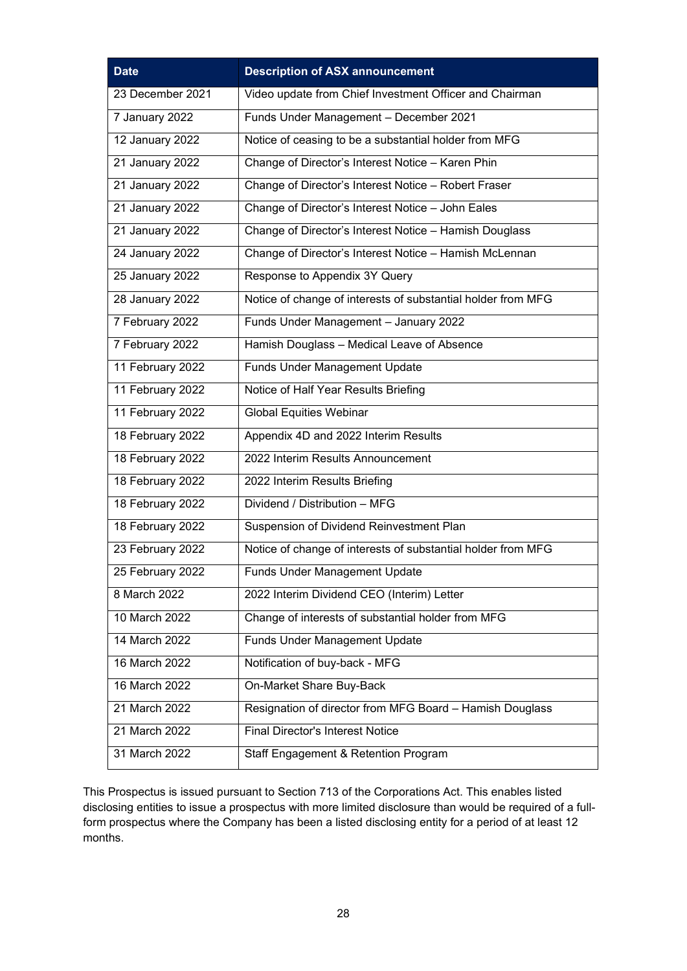| <b>Date</b>      | <b>Description of ASX announcement</b>                       |
|------------------|--------------------------------------------------------------|
| 23 December 2021 | Video update from Chief Investment Officer and Chairman      |
| 7 January 2022   | Funds Under Management - December 2021                       |
| 12 January 2022  | Notice of ceasing to be a substantial holder from MFG        |
| 21 January 2022  | Change of Director's Interest Notice - Karen Phin            |
| 21 January 2022  | Change of Director's Interest Notice - Robert Fraser         |
| 21 January 2022  | Change of Director's Interest Notice - John Eales            |
| 21 January 2022  | Change of Director's Interest Notice - Hamish Douglass       |
| 24 January 2022  | Change of Director's Interest Notice - Hamish McLennan       |
| 25 January 2022  | Response to Appendix 3Y Query                                |
| 28 January 2022  | Notice of change of interests of substantial holder from MFG |
| 7 February 2022  | Funds Under Management - January 2022                        |
| 7 February 2022  | Hamish Douglass - Medical Leave of Absence                   |
| 11 February 2022 | <b>Funds Under Management Update</b>                         |
| 11 February 2022 | Notice of Half Year Results Briefing                         |
| 11 February 2022 | <b>Global Equities Webinar</b>                               |
| 18 February 2022 | Appendix 4D and 2022 Interim Results                         |
| 18 February 2022 | 2022 Interim Results Announcement                            |
| 18 February 2022 | 2022 Interim Results Briefing                                |
| 18 February 2022 | Dividend / Distribution - MFG                                |
| 18 February 2022 | Suspension of Dividend Reinvestment Plan                     |
| 23 February 2022 | Notice of change of interests of substantial holder from MFG |
| 25 February 2022 | <b>Funds Under Management Update</b>                         |
| 8 March 2022     | 2022 Interim Dividend CEO (Interim) Letter                   |
| 10 March 2022    | Change of interests of substantial holder from MFG           |
| 14 March 2022    | <b>Funds Under Management Update</b>                         |
| 16 March 2022    | Notification of buy-back - MFG                               |
| 16 March 2022    | On-Market Share Buy-Back                                     |
| 21 March 2022    | Resignation of director from MFG Board - Hamish Douglass     |
| 21 March 2022    | <b>Final Director's Interest Notice</b>                      |
| 31 March 2022    | Staff Engagement & Retention Program                         |

This Prospectus is issued pursuant to Section 713 of the Corporations Act. This enables listed disclosing entities to issue a prospectus with more limited disclosure than would be required of a fullform prospectus where the Company has been a listed disclosing entity for a period of at least 12 months.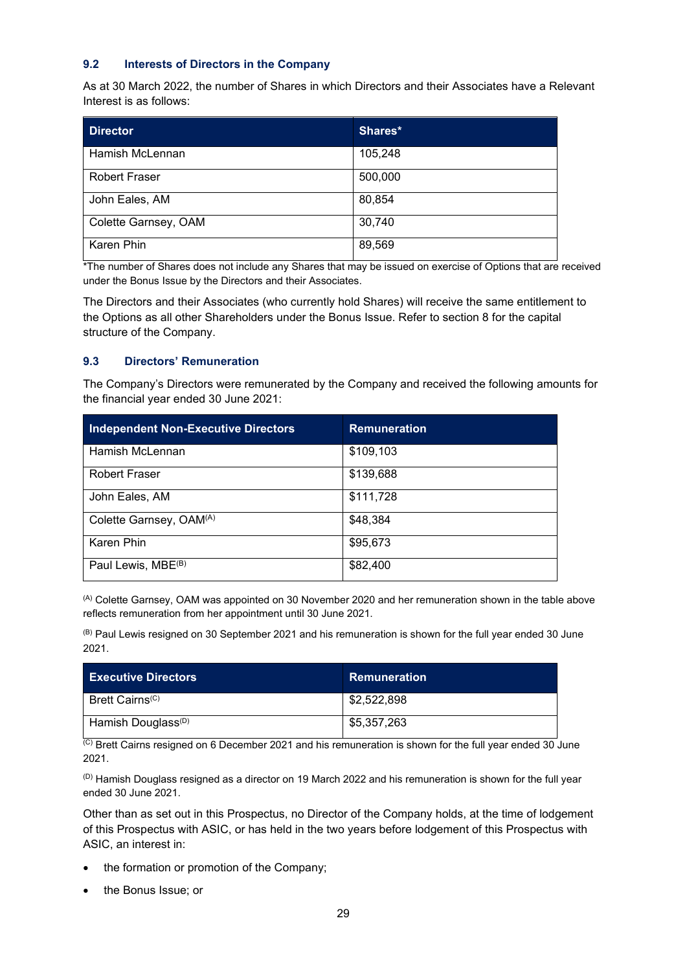#### **9.2 Interests of Directors in the Company**

As at 30 March 2022, the number of Shares in which Directors and their Associates have a Relevant Interest is as follows:

| <b>Director</b>      | Shares* |
|----------------------|---------|
| Hamish McLennan      | 105,248 |
| <b>Robert Fraser</b> | 500,000 |
| John Eales, AM       | 80,854  |
| Colette Garnsey, OAM | 30,740  |
| Karen Phin           | 89,569  |

\*The number of Shares does not include any Shares that may be issued on exercise of Options that are received under the Bonus Issue by the Directors and their Associates.

The Directors and their Associates (who currently hold Shares) will receive the same entitlement to the Options as all other Shareholders under the Bonus Issue. Refer to section 8 for the capital structure of the Company.

### **9.3 Directors' Remuneration**

The Company's Directors were remunerated by the Company and received the following amounts for the financial year ended 30 June 2021:

| Independent Non-Executive Directors | <b>Remuneration</b> |
|-------------------------------------|---------------------|
| Hamish McLennan                     | \$109,103           |
| <b>Robert Fraser</b>                | \$139,688           |
| John Eales, AM                      | \$111,728           |
| Colette Garnsey, OAM <sup>(A)</sup> | \$48,384            |
| Karen Phin                          | \$95,673            |
| Paul Lewis, MBE <sup>(B)</sup>      | \$82,400            |

(A) Colette Garnsey, OAM was appointed on 30 November 2020 and her remuneration shown in the table above reflects remuneration from her appointment until 30 June 2021.

(B) Paul Lewis resigned on 30 September 2021 and his remuneration is shown for the full year ended 30 June 2021.

| <b>Executive Directors</b>     | Remuneration |
|--------------------------------|--------------|
| Brett Cairns <sup>(C)</sup>    | \$2,522,898  |
| Hamish Douglass <sup>(D)</sup> | \$5,357,263  |

(C) Brett Cairns resigned on 6 December 2021 and his remuneration is shown for the full year ended 30 June 2021.

 $(D)$  Hamish Douglass resigned as a director on 19 March 2022 and his remuneration is shown for the full year ended 30 June 2021.

Other than as set out in this Prospectus, no Director of the Company holds, at the time of lodgement of this Prospectus with ASIC, or has held in the two years before lodgement of this Prospectus with ASIC, an interest in:

- the formation or promotion of the Company;
- the Bonus Issue; or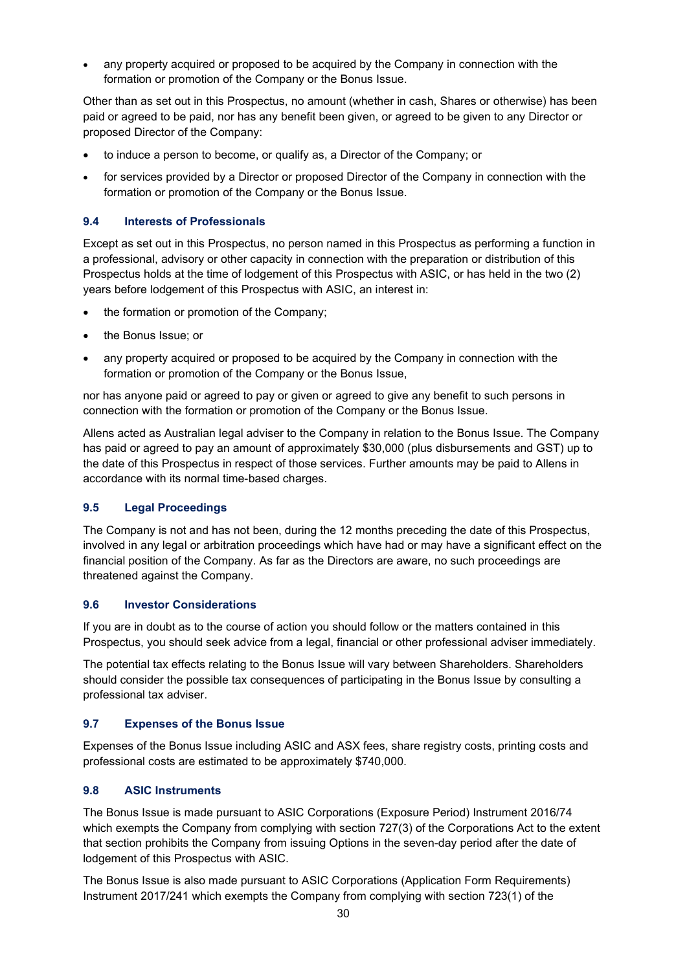• any property acquired or proposed to be acquired by the Company in connection with the formation or promotion of the Company or the Bonus Issue.

Other than as set out in this Prospectus, no amount (whether in cash, Shares or otherwise) has been paid or agreed to be paid, nor has any benefit been given, or agreed to be given to any Director or proposed Director of the Company:

- to induce a person to become, or qualify as, a Director of the Company; or
- for services provided by a Director or proposed Director of the Company in connection with the formation or promotion of the Company or the Bonus Issue.

### **9.4 Interests of Professionals**

Except as set out in this Prospectus, no person named in this Prospectus as performing a function in a professional, advisory or other capacity in connection with the preparation or distribution of this Prospectus holds at the time of lodgement of this Prospectus with ASIC, or has held in the two (2) years before lodgement of this Prospectus with ASIC, an interest in:

- the formation or promotion of the Company;
- the Bonus Issue; or
- any property acquired or proposed to be acquired by the Company in connection with the formation or promotion of the Company or the Bonus Issue,

nor has anyone paid or agreed to pay or given or agreed to give any benefit to such persons in connection with the formation or promotion of the Company or the Bonus Issue.

Allens acted as Australian legal adviser to the Company in relation to the Bonus Issue. The Company has paid or agreed to pay an amount of approximately \$30,000 (plus disbursements and GST) up to the date of this Prospectus in respect of those services. Further amounts may be paid to Allens in accordance with its normal time-based charges.

#### **9.5 Legal Proceedings**

The Company is not and has not been, during the 12 months preceding the date of this Prospectus, involved in any legal or arbitration proceedings which have had or may have a significant effect on the financial position of the Company. As far as the Directors are aware, no such proceedings are threatened against the Company.

#### **9.6 Investor Considerations**

If you are in doubt as to the course of action you should follow or the matters contained in this Prospectus, you should seek advice from a legal, financial or other professional adviser immediately.

The potential tax effects relating to the Bonus Issue will vary between Shareholders. Shareholders should consider the possible tax consequences of participating in the Bonus Issue by consulting a professional tax adviser.

#### <span id="page-29-0"></span>**9.7 Expenses of the Bonus Issue**

Expenses of the Bonus Issue including ASIC and ASX fees, share registry costs, printing costs and professional costs are estimated to be approximately \$740,000.

#### **9.8 ASIC Instruments**

The Bonus Issue is made pursuant to ASIC Corporations (Exposure Period) Instrument 2016/74 which exempts the Company from complying with section 727(3) of the Corporations Act to the extent that section prohibits the Company from issuing Options in the seven-day period after the date of lodgement of this Prospectus with ASIC.

The Bonus Issue is also made pursuant to ASIC Corporations (Application Form Requirements) Instrument 2017/241 which exempts the Company from complying with section 723(1) of the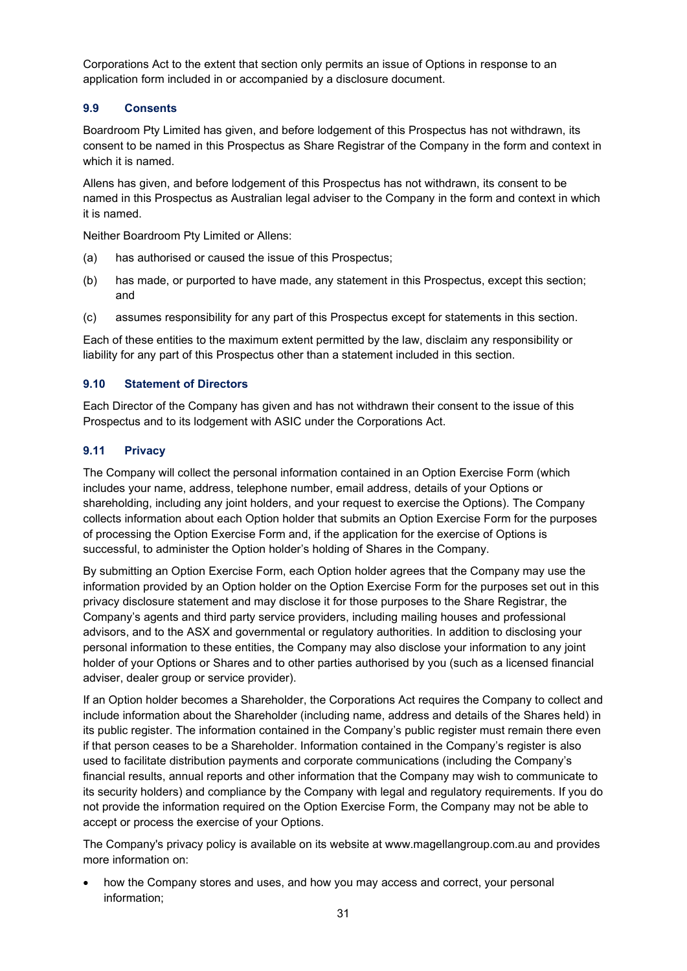Corporations Act to the extent that section only permits an issue of Options in response to an application form included in or accompanied by a disclosure document.

## **9.9 Consents**

Boardroom Pty Limited has given, and before lodgement of this Prospectus has not withdrawn, its consent to be named in this Prospectus as Share Registrar of the Company in the form and context in which it is named.

Allens has given, and before lodgement of this Prospectus has not withdrawn, its consent to be named in this Prospectus as Australian legal adviser to the Company in the form and context in which it is named.

Neither Boardroom Pty Limited or Allens:

- (a) has authorised or caused the issue of this Prospectus;
- (b) has made, or purported to have made, any statement in this Prospectus, except this section; and
- (c) assumes responsibility for any part of this Prospectus except for statements in this section.

Each of these entities to the maximum extent permitted by the law, disclaim any responsibility or liability for any part of this Prospectus other than a statement included in this section.

#### **9.10 Statement of Directors**

Each Director of the Company has given and has not withdrawn their consent to the issue of this Prospectus and to its lodgement with ASIC under the Corporations Act.

## <span id="page-30-0"></span>**9.11 Privacy**

The Company will collect the personal information contained in an Option Exercise Form (which includes your name, address, telephone number, email address, details of your Options or shareholding, including any joint holders, and your request to exercise the Options). The Company collects information about each Option holder that submits an Option Exercise Form for the purposes of processing the Option Exercise Form and, if the application for the exercise of Options is successful, to administer the Option holder's holding of Shares in the Company.

By submitting an Option Exercise Form, each Option holder agrees that the Company may use the information provided by an Option holder on the Option Exercise Form for the purposes set out in this privacy disclosure statement and may disclose it for those purposes to the Share Registrar, the Company's agents and third party service providers, including mailing houses and professional advisors, and to the ASX and governmental or regulatory authorities. In addition to disclosing your personal information to these entities, the Company may also disclose your information to any joint holder of your Options or Shares and to other parties authorised by you (such as a licensed financial adviser, dealer group or service provider).

If an Option holder becomes a Shareholder, the Corporations Act requires the Company to collect and include information about the Shareholder (including name, address and details of the Shares held) in its public register. The information contained in the Company's public register must remain there even if that person ceases to be a Shareholder. Information contained in the Company's register is also used to facilitate distribution payments and corporate communications (including the Company's financial results, annual reports and other information that the Company may wish to communicate to its security holders) and compliance by the Company with legal and regulatory requirements. If you do not provide the information required on the Option Exercise Form, the Company may not be able to accept or process the exercise of your Options.

The Company's privacy policy is available on its website at www.magellangroup.com.au and provides more information on:

• how the Company stores and uses, and how you may access and correct, your personal information;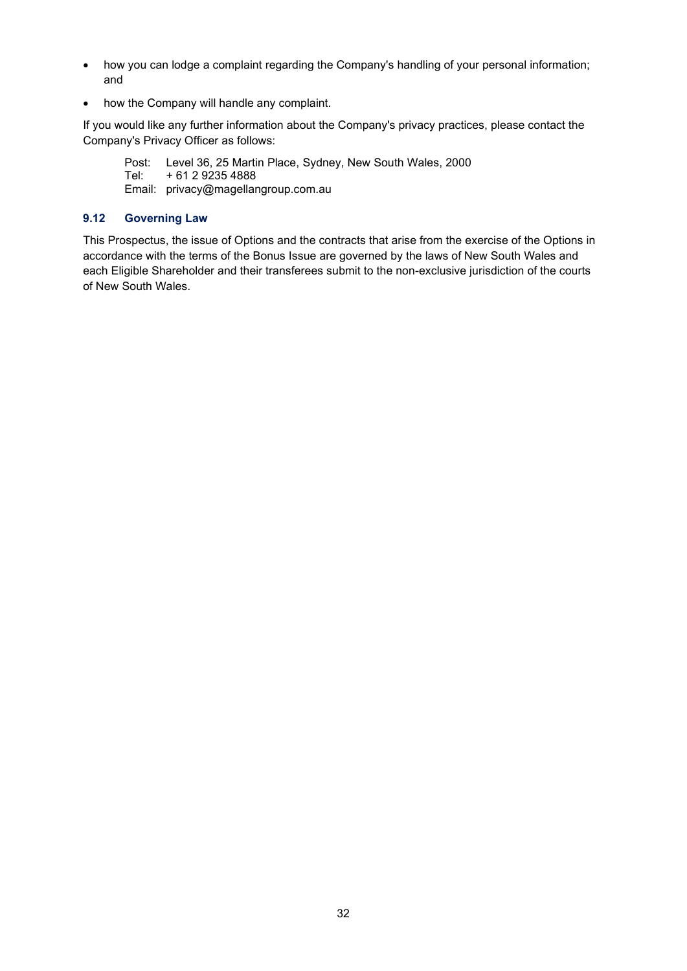- how you can lodge a complaint regarding the Company's handling of your personal information; and
- how the Company will handle any complaint.

If you would like any further information about the Company's privacy practices, please contact the Company's Privacy Officer as follows:

Post: Level 36, 25 Martin Place, Sydney, New South Wales, 2000 Tel: + 61 2 9235 4888 Email: privacy@magellangroup.com.au

### **9.12 Governing Law**

This Prospectus, the issue of Options and the contracts that arise from the exercise of the Options in accordance with the terms of the Bonus Issue are governed by the laws of New South Wales and each Eligible Shareholder and their transferees submit to the non-exclusive jurisdiction of the courts of New South Wales.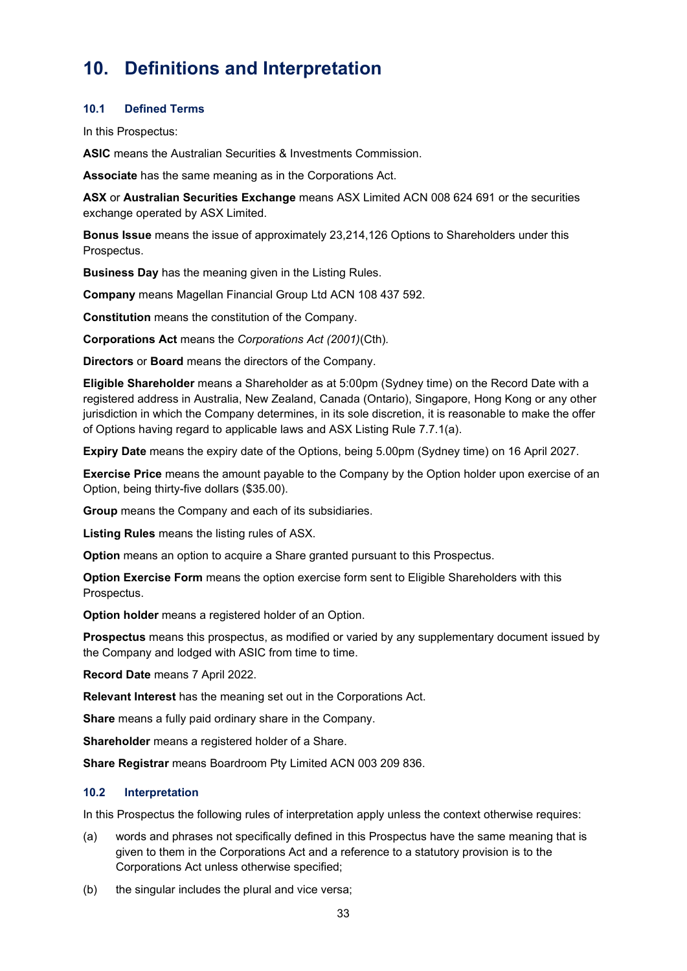# <span id="page-32-0"></span>**10. Definitions and Interpretation**

#### **10.1 Defined Terms**

In this Prospectus:

**ASIC** means the Australian Securities & Investments Commission.

**Associate** has the same meaning as in the Corporations Act.

**ASX** or **Australian Securities Exchange** means ASX Limited ACN 008 624 691 or the securities exchange operated by ASX Limited.

**Bonus Issue** means the issue of approximately 23,214,126 Options to Shareholders under this Prospectus.

**Business Day** has the meaning given in the Listing Rules.

**Company** means Magellan Financial Group Ltd ACN 108 437 592.

**Constitution** means the constitution of the Company.

**Corporations Act** means the *Corporations Act (2001)*(Cth)*.*

**Directors** or **Board** means the directors of the Company.

**Eligible Shareholder** means a Shareholder as at 5:00pm (Sydney time) on the Record Date with a registered address in Australia, New Zealand, Canada (Ontario), Singapore, Hong Kong or any other jurisdiction in which the Company determines, in its sole discretion, it is reasonable to make the offer of Options having regard to applicable laws and ASX Listing Rule 7.7.1(a).

**Expiry Date** means the expiry date of the Options, being 5.00pm (Sydney time) on 16 April 2027.

**Exercise Price** means the amount payable to the Company by the Option holder upon exercise of an Option, being thirty-five dollars (\$35.00).

**Group** means the Company and each of its subsidiaries.

**Listing Rules** means the listing rules of ASX.

**Option** means an option to acquire a Share granted pursuant to this Prospectus.

**Option Exercise Form** means the option exercise form sent to Eligible Shareholders with this Prospectus.

**Option holder** means a registered holder of an Option.

**Prospectus** means this prospectus, as modified or varied by any supplementary document issued by the Company and lodged with ASIC from time to time.

**Record Date** means 7 April 2022.

**Relevant Interest** has the meaning set out in the Corporations Act.

**Share** means a fully paid ordinary share in the Company.

**Shareholder** means a registered holder of a Share.

**Share Registrar** means Boardroom Pty Limited ACN 003 209 836.

#### **10.2 Interpretation**

In this Prospectus the following rules of interpretation apply unless the context otherwise requires:

- (a) words and phrases not specifically defined in this Prospectus have the same meaning that is given to them in the Corporations Act and a reference to a statutory provision is to the Corporations Act unless otherwise specified;
- (b) the singular includes the plural and vice versa;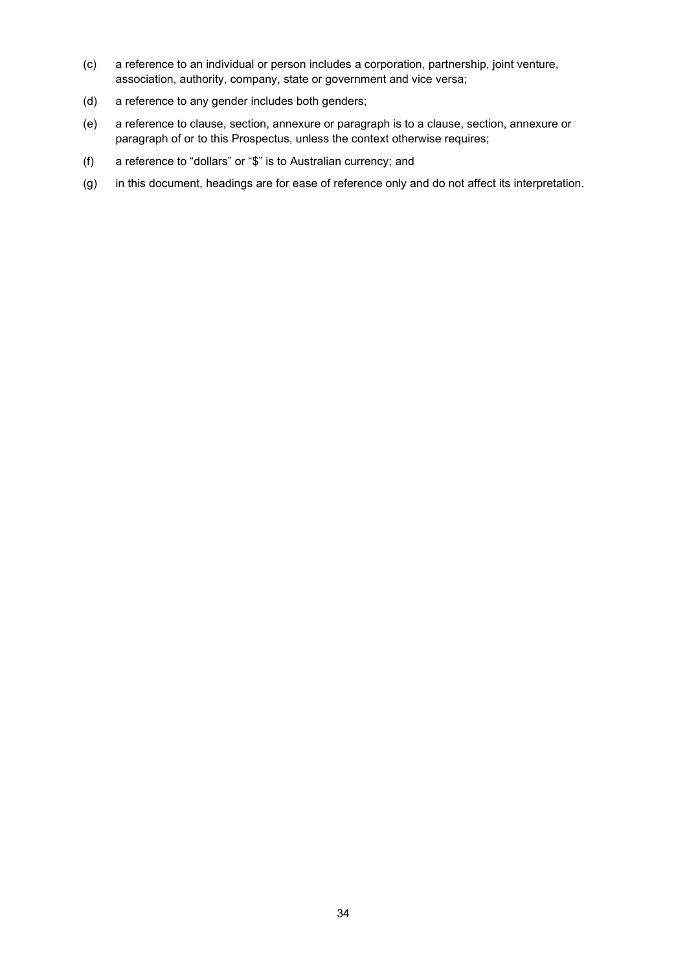- (c) a reference to an individual or person includes a corporation, partnership, joint venture, association, authority, company, state or government and vice versa;
- (d) a reference to any gender includes both genders;
- (e) a reference to clause, section, annexure or paragraph is to a clause, section, annexure or paragraph of or to this Prospectus, unless the context otherwise requires;
- (f) a reference to "dollars" or "\$" is to Australian currency; and
- (g) in this document, headings are for ease of reference only and do not affect its interpretation.